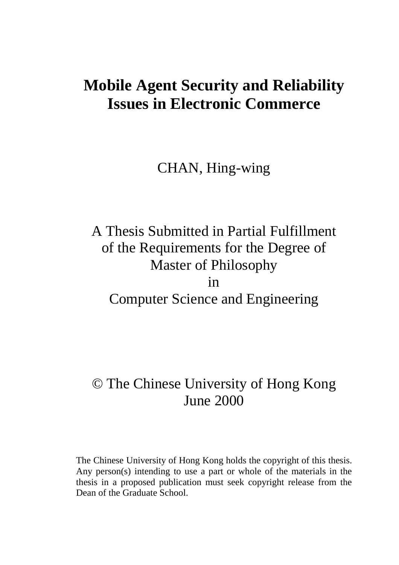# **Mobile Agent Security and Reliability Issues in Electronic Commerce**

# CHAN, Hing-wing

# A Thesis Submitted in Partial Fulfillment of the Requirements for the Degree of Master of Philosophy in Computer Science and Engineering

# © The Chinese University of Hong Kong June 2000

The Chinese University of Hong Kong holds the copyright of this thesis. Any person(s) intending to use a part or whole of the materials in the thesis in a proposed publication must seek copyright release from the Dean of the Graduate School.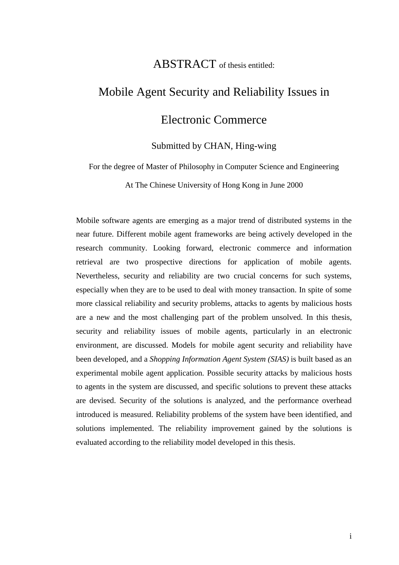# ABSTRACT of thesis entitled:

# Mobile Agent Security and Reliability Issues in Electronic Commerce

## Submitted by CHAN, Hing-wing

For the degree of Master of Philosophy in Computer Science and Engineering

At The Chinese University of Hong Kong in June 2000

Mobile software agents are emerging as a major trend of distributed systems in the near future. Different mobile agent frameworks are being actively developed in the research community. Looking forward, electronic commerce and information retrieval are two prospective directions for application of mobile agents. Nevertheless, security and reliability are two crucial concerns for such systems, especially when they are to be used to deal with money transaction. In spite of some more classical reliability and security problems, attacks to agents by malicious hosts are a new and the most challenging part of the problem unsolved. In this thesis, security and reliability issues of mobile agents, particularly in an electronic environment, are discussed. Models for mobile agent security and reliability have been developed, and a *Shopping Information Agent System (SIAS)* is built based as an experimental mobile agent application. Possible security attacks by malicious hosts to agents in the system are discussed, and specific solutions to prevent these attacks are devised. Security of the solutions is analyzed, and the performance overhead introduced is measured. Reliability problems of the system have been identified, and solutions implemented. The reliability improvement gained by the solutions is evaluated according to the reliability model developed in this thesis.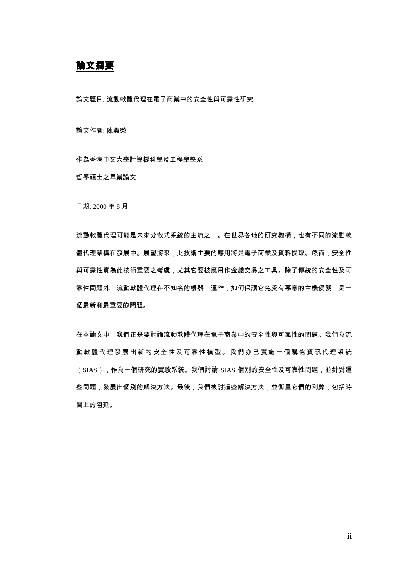論文摘要

論文題目: 流動軟體代理在電子商業中的安全性與可靠性研究

論文作者: 陳興榮

作為香港中文大學計算機科學及工程學學系

哲學碩士之畢業論文

日期: 2000年8月

流動軟體代理可能是未來分散式系統的主流之一。在世界各地的研究機構,也有不同的流動軟 體代理架構在發展中。展望將來,此技術主要的應用將是電子商業及資料提取。然而,安全性 與可靠性實為此技術重要之考慮,尤其它要被應用作金錢交易之工具。除了傳統的安全性及可 靠性問題外,流動軟體代理在不知名的機器上運作,如何保護它免受有惡意的主機侵襲,是一 個最新和最重要的問題。

在本論文中,我們正是要討論流動軟體代理在電子商業中的安全性與可靠性的問題。我們為流 動 軟 體 代 理 發 展 出 新 的 安 全 性 及 可 靠 性 模 型 。 我 們 亦 已 實 施 一 個 購 物 資 訊 代 理 系 統 (SIAS), 作為一個研究的實驗系統。我們討論 SIAS 個別的安全性及可靠性問題, 並針對這 些問題,發展出個別的解決方法。最後,我們檢討這些解決方法,並衡量它們的利弊,包括時 間上的阻延。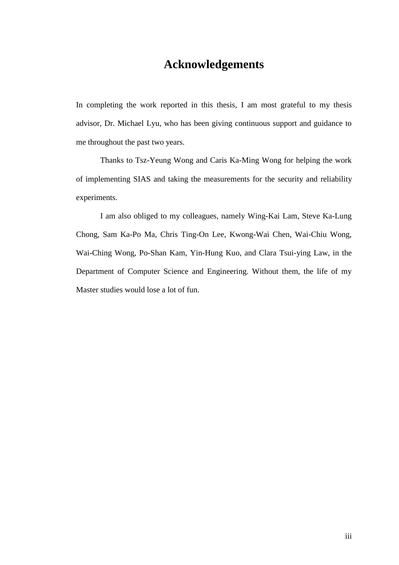# **Acknowledgements**

In completing the work reported in this thesis, I am most grateful to my thesis advisor, Dr. Michael Lyu, who has been giving continuous support and guidance to me throughout the past two years.

Thanks to Tsz-Yeung Wong and Caris Ka-Ming Wong for helping the work of implementing SIAS and taking the measurements for the security and reliability experiments.

I am also obliged to my colleagues, namely Wing-Kai Lam, Steve Ka-Lung Chong, Sam Ka-Po Ma, Chris Ting-On Lee, Kwong-Wai Chen, Wai-Chiu Wong, Wai-Ching Wong, Po-Shan Kam, Yin-Hung Kuo, and Clara Tsui-ying Law, in the Department of Computer Science and Engineering. Without them, the life of my Master studies would lose a lot of fun.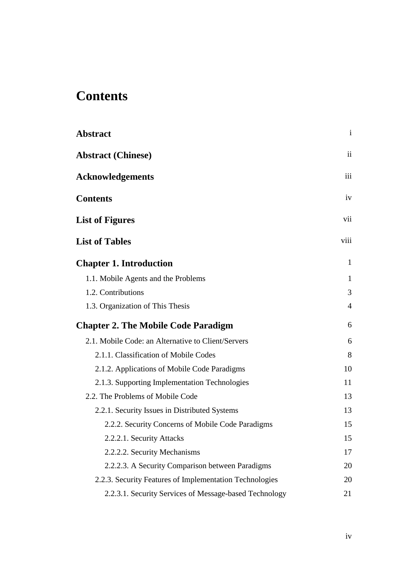# **Contents**

| <b>Abstract</b>                                         | $\mathbf{i}$ |
|---------------------------------------------------------|--------------|
| <b>Abstract (Chinese)</b>                               | ii           |
| <b>Acknowledgements</b>                                 | iii          |
| <b>Contents</b>                                         | iv           |
| <b>List of Figures</b>                                  | vii          |
| <b>List of Tables</b>                                   | viii         |
| <b>Chapter 1. Introduction</b>                          | 1            |
| 1.1. Mobile Agents and the Problems                     | $\mathbf{1}$ |
| 1.2. Contributions                                      | 3            |
| 1.3. Organization of This Thesis                        | 4            |
| <b>Chapter 2. The Mobile Code Paradigm</b>              | 6            |
| 2.1. Mobile Code: an Alternative to Client/Servers      | 6            |
| 2.1.1. Classification of Mobile Codes                   | 8            |
| 2.1.2. Applications of Mobile Code Paradigms            | 10           |
| 2.1.3. Supporting Implementation Technologies           | 11           |
| 2.2. The Problems of Mobile Code                        | 13           |
| 2.2.1. Security Issues in Distributed Systems           | 13           |
| 2.2.2. Security Concerns of Mobile Code Paradigms       | 15           |
| 2.2.2.1. Security Attacks                               | 15           |
| 2.2.2.2. Security Mechanisms                            | 17           |
| 2.2.2.3. A Security Comparison between Paradigms        | 20           |
| 2.2.3. Security Features of Implementation Technologies | 20           |
| 2.2.3.1. Security Services of Message-based Technology  | 21           |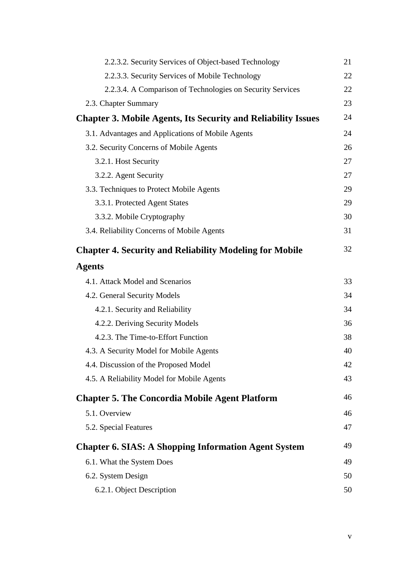| 2.2.3.2. Security Services of Object-based Technology                | 21 |
|----------------------------------------------------------------------|----|
| 2.2.3.3. Security Services of Mobile Technology                      | 22 |
| 2.2.3.4. A Comparison of Technologies on Security Services           | 22 |
| 2.3. Chapter Summary                                                 | 23 |
| <b>Chapter 3. Mobile Agents, Its Security and Reliability Issues</b> | 24 |
| 3.1. Advantages and Applications of Mobile Agents                    | 24 |
| 3.2. Security Concerns of Mobile Agents                              | 26 |
| 3.2.1. Host Security                                                 | 27 |
| 3.2.2. Agent Security                                                | 27 |
| 3.3. Techniques to Protect Mobile Agents                             | 29 |
| 3.3.1. Protected Agent States                                        | 29 |
| 3.3.2. Mobile Cryptography                                           | 30 |
| 3.4. Reliability Concerns of Mobile Agents                           | 31 |
| <b>Chapter 4. Security and Reliability Modeling for Mobile</b>       | 32 |
| <b>Agents</b>                                                        |    |
| 4.1. Attack Model and Scenarios                                      | 33 |
| 4.2. General Security Models                                         | 34 |
| 4.2.1. Security and Reliability                                      | 34 |
| 4.2.2. Deriving Security Models                                      | 36 |
| 4.2.3. The Time-to-Effort Function                                   | 38 |
| 4.3. A Security Model for Mobile Agents                              | 40 |
| 4.4. Discussion of the Proposed Model                                | 42 |
| 4.5. A Reliability Model for Mobile Agents                           | 43 |
| <b>Chapter 5. The Concordia Mobile Agent Platform</b>                | 46 |
| 5.1. Overview                                                        | 46 |
| 5.2. Special Features                                                | 47 |
| <b>Chapter 6. SIAS: A Shopping Information Agent System</b>          | 49 |
| 6.1. What the System Does                                            | 49 |
| 6.2. System Design                                                   | 50 |
| 6.2.1. Object Description                                            | 50 |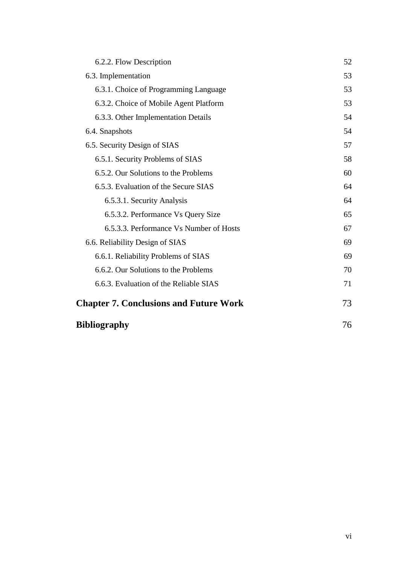| 6.2.2. Flow Description                       | 52 |
|-----------------------------------------------|----|
| 6.3. Implementation                           | 53 |
| 6.3.1. Choice of Programming Language         | 53 |
| 6.3.2. Choice of Mobile Agent Platform        | 53 |
| 6.3.3. Other Implementation Details           | 54 |
| 6.4. Snapshots                                | 54 |
| 6.5. Security Design of SIAS                  | 57 |
| 6.5.1. Security Problems of SIAS              | 58 |
| 6.5.2. Our Solutions to the Problems          | 60 |
| 6.5.3. Evaluation of the Secure SIAS          | 64 |
| 6.5.3.1. Security Analysis                    | 64 |
| 6.5.3.2. Performance Vs Query Size            | 65 |
| 6.5.3.3. Performance Vs Number of Hosts       | 67 |
| 6.6. Reliability Design of SIAS               | 69 |
| 6.6.1. Reliability Problems of SIAS           | 69 |
| 6.6.2. Our Solutions to the Problems          | 70 |
| 6.6.3. Evaluation of the Reliable SIAS        | 71 |
| <b>Chapter 7. Conclusions and Future Work</b> | 73 |
| <b>Bibliography</b>                           | 76 |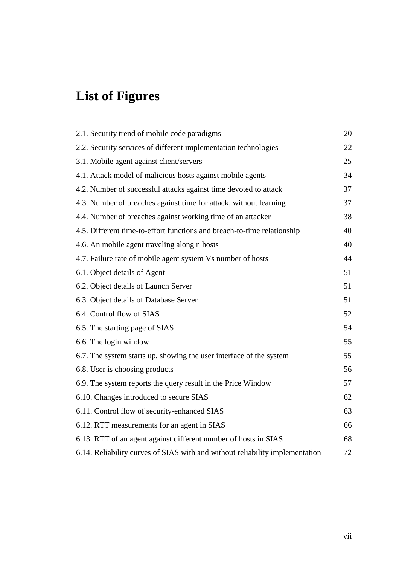# **List of Figures**

| 2.1. Security trend of mobile code paradigms                                 | 20 |
|------------------------------------------------------------------------------|----|
| 2.2. Security services of different implementation technologies              | 22 |
| 3.1. Mobile agent against client/servers                                     | 25 |
| 4.1. Attack model of malicious hosts against mobile agents                   | 34 |
| 4.2. Number of successful attacks against time devoted to attack             | 37 |
| 4.3. Number of breaches against time for attack, without learning            | 37 |
| 4.4. Number of breaches against working time of an attacker                  | 38 |
| 4.5. Different time-to-effort functions and breach-to-time relationship      | 40 |
| 4.6. An mobile agent traveling along n hosts                                 | 40 |
| 4.7. Failure rate of mobile agent system Vs number of hosts                  | 44 |
| 6.1. Object details of Agent                                                 | 51 |
| 6.2. Object details of Launch Server                                         | 51 |
| 6.3. Object details of Database Server                                       | 51 |
| 6.4. Control flow of SIAS                                                    | 52 |
| 6.5. The starting page of SIAS                                               | 54 |
| 6.6. The login window                                                        | 55 |
| 6.7. The system starts up, showing the user interface of the system          | 55 |
| 6.8. User is choosing products                                               | 56 |
| 6.9. The system reports the query result in the Price Window                 | 57 |
| 6.10. Changes introduced to secure SIAS                                      | 62 |
| 6.11. Control flow of security-enhanced SIAS                                 | 63 |
| 6.12. RTT measurements for an agent in SIAS                                  | 66 |
| 6.13. RTT of an agent against different number of hosts in SIAS              | 68 |
| 6.14. Reliability curves of SIAS with and without reliability implementation | 72 |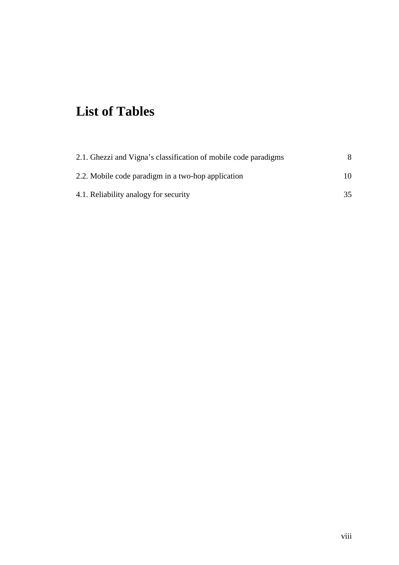# **List of Tables**

| 2.1. Ghezzi and Vigna's classification of mobile code paradigms |     |
|-----------------------------------------------------------------|-----|
| 2.2. Mobile code paradigm in a two-hop application              | 10. |
| 4.1. Reliability analogy for security                           | 35  |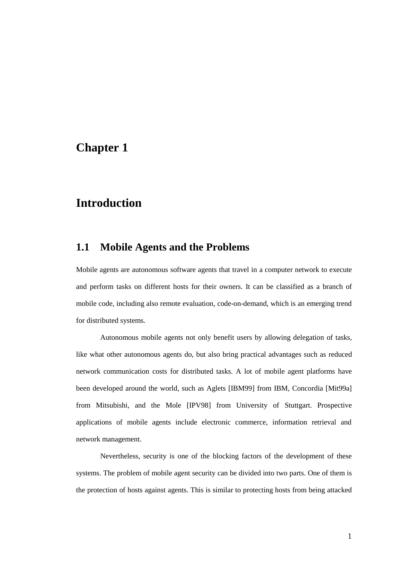# **Chapter 1**

# **Introduction**

## **1.1 Mobile Agents and the Problems**

Mobile agents are autonomous software agents that travel in a computer network to execute and perform tasks on different hosts for their owners. It can be classified as a branch of mobile code, including also remote evaluation, code-on-demand, which is an emerging trend for distributed systems.

Autonomous mobile agents not only benefit users by allowing delegation of tasks, like what other autonomous agents do, but also bring practical advantages such as reduced network communication costs for distributed tasks. A lot of mobile agent platforms have been developed around the world, such as Aglets [IBM99] from IBM, Concordia [Mit99a] from Mitsubishi, and the Mole [IPV98] from University of Stuttgart. Prospective applications of mobile agents include electronic commerce, information retrieval and network management.

Nevertheless, security is one of the blocking factors of the development of these systems. The problem of mobile agent security can be divided into two parts. One of them is the protection of hosts against agents. This is similar to protecting hosts from being attacked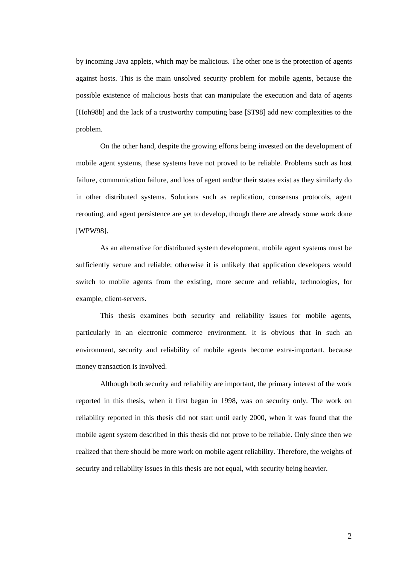by incoming Java applets, which may be malicious. The other one is the protection of agents against hosts. This is the main unsolved security problem for mobile agents, because the possible existence of malicious hosts that can manipulate the execution and data of agents [Hoh98b] and the lack of a trustworthy computing base [ST98] add new complexities to the problem.

On the other hand, despite the growing efforts being invested on the development of mobile agent systems, these systems have not proved to be reliable. Problems such as host failure, communication failure, and loss of agent and/or their states exist as they similarly do in other distributed systems. Solutions such as replication, consensus protocols, agent rerouting, and agent persistence are yet to develop, though there are already some work done [WPW98].

As an alternative for distributed system development, mobile agent systems must be sufficiently secure and reliable; otherwise it is unlikely that application developers would switch to mobile agents from the existing, more secure and reliable, technologies, for example, client-servers.

This thesis examines both security and reliability issues for mobile agents, particularly in an electronic commerce environment. It is obvious that in such an environment, security and reliability of mobile agents become extra-important, because money transaction is involved.

Although both security and reliability are important, the primary interest of the work reported in this thesis, when it first began in 1998, was on security only. The work on reliability reported in this thesis did not start until early 2000, when it was found that the mobile agent system described in this thesis did not prove to be reliable. Only since then we realized that there should be more work on mobile agent reliability. Therefore, the weights of security and reliability issues in this thesis are not equal, with security being heavier.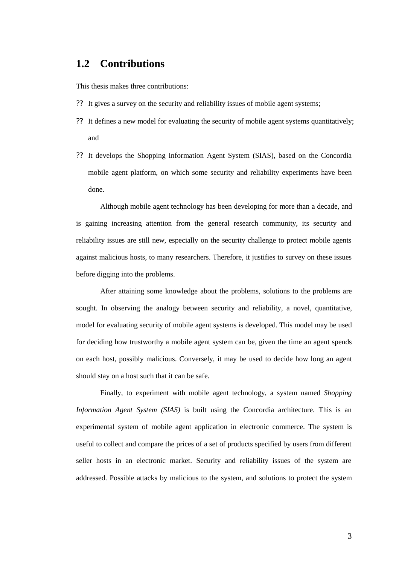## **1.2 Contributions**

This thesis makes three contributions:

- ?? It gives a survey on the security and reliability issues of mobile agent systems;
- ?? It defines a new model for evaluating the security of mobile agent systems quantitatively; and
- ?? It develops the Shopping Information Agent System (SIAS), based on the Concordia mobile agent platform, on which some security and reliability experiments have been done.

Although mobile agent technology has been developing for more than a decade, and is gaining increasing attention from the general research community, its security and reliability issues are still new, especially on the security challenge to protect mobile agents against malicious hosts, to many researchers. Therefore, it justifies to survey on these issues before digging into the problems.

After attaining some knowledge about the problems, solutions to the problems are sought. In observing the analogy between security and reliability, a novel, quantitative, model for evaluating security of mobile agent systems is developed. This model may be used for deciding how trustworthy a mobile agent system can be, given the time an agent spends on each host, possibly malicious. Conversely, it may be used to decide how long an agent should stay on a host such that it can be safe.

Finally, to experiment with mobile agent technology, a system named *Shopping Information Agent System (SIAS)* is built using the Concordia architecture. This is an experimental system of mobile agent application in electronic commerce. The system is useful to collect and compare the prices of a set of products specified by users from different seller hosts in an electronic market. Security and reliability issues of the system are addressed. Possible attacks by malicious to the system, and solutions to protect the system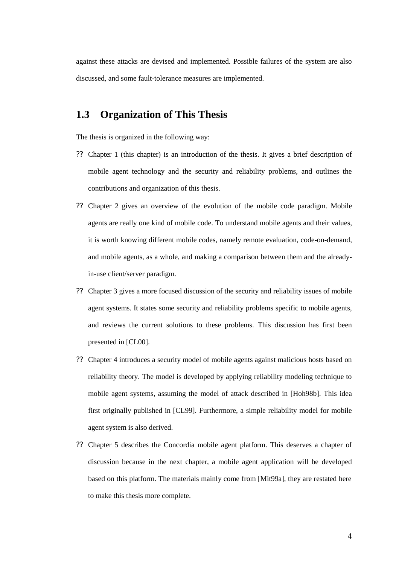against these attacks are devised and implemented. Possible failures of the system are also discussed, and some fault-tolerance measures are implemented.

## **1.3 Organization of This Thesis**

The thesis is organized in the following way:

- ?? Chapter 1 (this chapter) is an introduction of the thesis. It gives a brief description of mobile agent technology and the security and reliability problems, and outlines the contributions and organization of this thesis.
- ?? Chapter 2 gives an overview of the evolution of the mobile code paradigm. Mobile agents are really one kind of mobile code. To understand mobile agents and their values, it is worth knowing different mobile codes, namely remote evaluation, code-on-demand, and mobile agents, as a whole, and making a comparison between them and the alreadyin-use client/server paradigm.
- ?? Chapter 3 gives a more focused discussion of the security and reliability issues of mobile agent systems. It states some security and reliability problems specific to mobile agents, and reviews the current solutions to these problems. This discussion has first been presented in [CL00].
- ?? Chapter 4 introduces a security model of mobile agents against malicious hosts based on reliability theory. The model is developed by applying reliability modeling technique to mobile agent systems, assuming the model of attack described in [Hoh98b]. This idea first originally published in [CL99]. Furthermore, a simple reliability model for mobile agent system is also derived.
- ?? Chapter 5 describes the Concordia mobile agent platform. This deserves a chapter of discussion because in the next chapter, a mobile agent application will be developed based on this platform. The materials mainly come from [Mit99a], they are restated here to make this thesis more complete.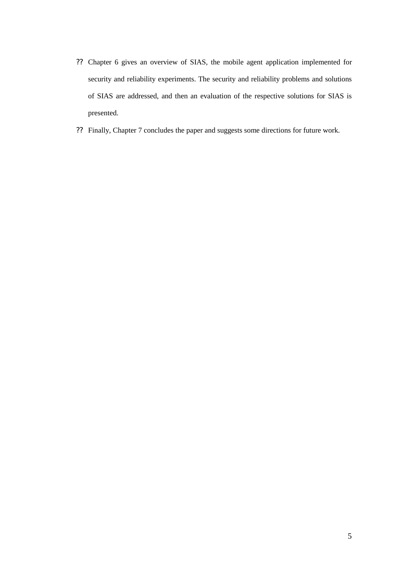- ?? Chapter 6 gives an overview of SIAS, the mobile agent application implemented for security and reliability experiments. The security and reliability problems and solutions of SIAS are addressed, and then an evaluation of the respective solutions for SIAS is presented.
- ?? Finally, Chapter 7 concludes the paper and suggests some directions for future work.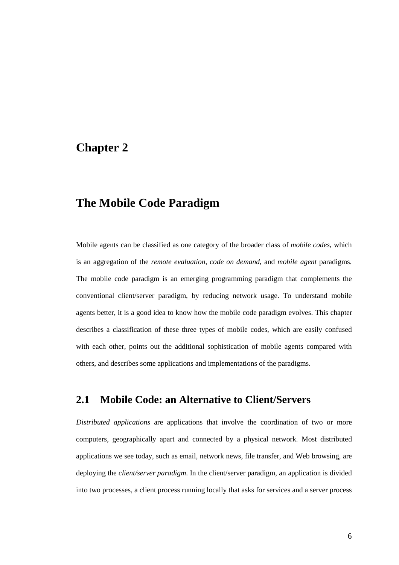## **Chapter 2**

# **The Mobile Code Paradigm**

Mobile agents can be classified as one category of the broader class of *mobile codes*, which is an aggregation of the *remote evaluation*, *code on demand*, and *mobile agent* paradigms. The mobile code paradigm is an emerging programming paradigm that complements the conventional client/server paradigm, by reducing network usage. To understand mobile agents better, it is a good idea to know how the mobile code paradigm evolves. This chapter describes a classification of these three types of mobile codes, which are easily confused with each other, points out the additional sophistication of mobile agents compared with others, and describes some applications and implementations of the paradigms.

## **2.1 Mobile Code: an Alternative to Client/Servers**

*Distributed applications* are applications that involve the coordination of two or more computers, geographically apart and connected by a physical network. Most distributed applications we see today, such as email, network news, file transfer, and Web browsing, are deploying the *client/server paradigm*. In the client/server paradigm, an application is divided into two processes, a client process running locally that asks for services and a server process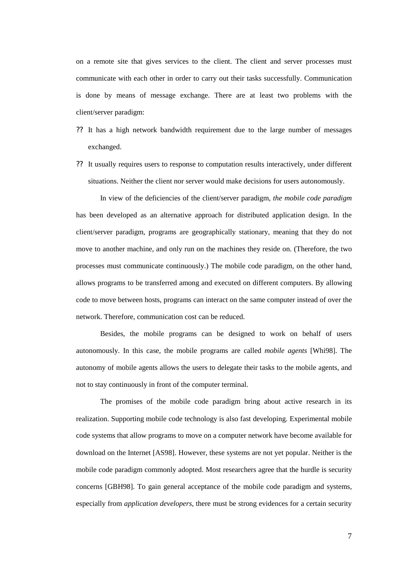on a remote site that gives services to the client. The client and server processes must communicate with each other in order to carry out their tasks successfully. Communication is done by means of message exchange. There are at least two problems with the client/server paradigm:

- ?? It has a high network bandwidth requirement due to the large number of messages exchanged.
- ?? It usually requires users to response to computation results interactively, under different situations. Neither the client nor server would make decisions for users autonomously.

In view of the deficiencies of the client/server paradigm, *the mobile code paradigm* has been developed as an alternative approach for distributed application design. In the client/server paradigm, programs are geographically stationary, meaning that they do not move to another machine, and only run on the machines they reside on. (Therefore, the two processes must communicate continuously.) The mobile code paradigm, on the other hand, allows programs to be transferred among and executed on different computers. By allowing code to move between hosts, programs can interact on the same computer instead of over the network. Therefore, communication cost can be reduced.

Besides, the mobile programs can be designed to work on behalf of users autonomously. In this case, the mobile programs are called *mobile agents* [Whi98]. The autonomy of mobile agents allows the users to delegate their tasks to the mobile agents, and not to stay continuously in front of the computer terminal.

The promises of the mobile code paradigm bring about active research in its realization. Supporting mobile code technology is also fast developing. Experimental mobile code systems that allow programs to move on a computer network have become available for download on the Internet [AS98]. However, these systems are not yet popular. Neither is the mobile code paradigm commonly adopted. Most researchers agree that the hurdle is security concerns [GBH98]. To gain general acceptance of the mobile code paradigm and systems, especially from *application developers*, there must be strong evidences for a certain security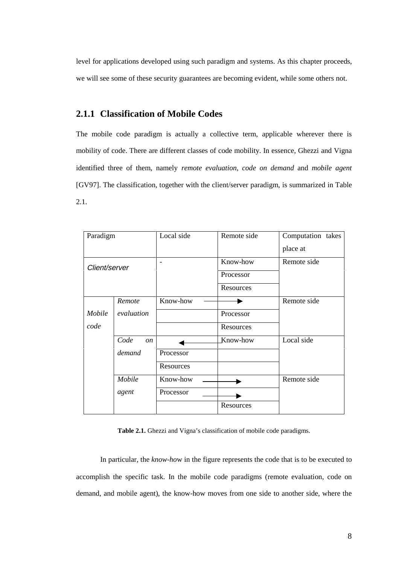level for applications developed using such paradigm and systems. As this chapter proceeds, we will see some of these security guarantees are becoming evident, while some others not.

### **2.1.1 Classification of Mobile Codes**

The mobile code paradigm is actually a collective term, applicable wherever there is mobility of code. There are different classes of code mobility. In essence, Ghezzi and Vigna identified three of them, namely *remote evaluation*, *code on demand* and *mobile agent* [GV97]. The classification, together with the client/server paradigm, is summarized in Table 2.1.

| Paradigm      |                       | Local side | Remote side | Computation takes |
|---------------|-----------------------|------------|-------------|-------------------|
|               |                       |            |             | place at          |
| Client/server |                       |            | Know-how    | Remote side       |
|               |                       |            | Processor   |                   |
|               |                       |            | Resources   |                   |
|               | Remote                | Know-how   |             | Remote side       |
| Mobile        | evaluation            |            | Processor   |                   |
| code          |                       |            | Resources   |                   |
|               | Code<br><sub>on</sub> |            | Know-how    | Local side        |
|               | demand                | Processor  |             |                   |
|               |                       | Resources  |             |                   |
|               | Mobile                | Know-how   |             | Remote side       |
|               | agent                 | Processor  |             |                   |
|               |                       |            | Resources   |                   |

**Table 2.1.** Ghezzi and Vigna's classification of mobile code paradigms.

In particular, the *know-ho*w in the figure represents the code that is to be executed to accomplish the specific task. In the mobile code paradigms (remote evaluation, code on demand, and mobile agent), the know-how moves from one side to another side, where the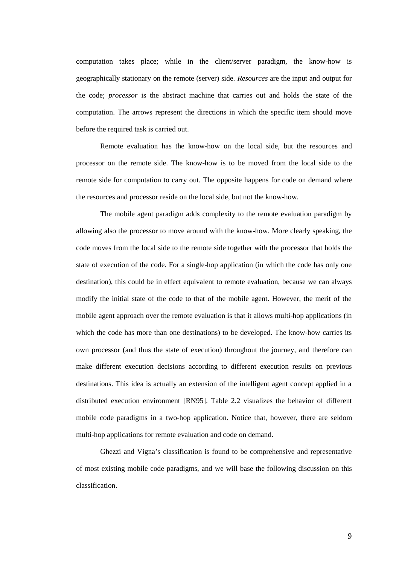computation takes place; while in the client/server paradigm, the know-how is geographically stationary on the remote (server) side. *Resources* are the input and output for the code; *processor* is the abstract machine that carries out and holds the state of the computation. The arrows represent the directions in which the specific item should move before the required task is carried out.

Remote evaluation has the know-how on the local side, but the resources and processor on the remote side. The know-how is to be moved from the local side to the remote side for computation to carry out. The opposite happens for code on demand where the resources and processor reside on the local side, but not the know-how.

The mobile agent paradigm adds complexity to the remote evaluation paradigm by allowing also the processor to move around with the know-how. More clearly speaking, the code moves from the local side to the remote side together with the processor that holds the state of execution of the code. For a single-hop application (in which the code has only one destination), this could be in effect equivalent to remote evaluation, because we can always modify the initial state of the code to that of the mobile agent. However, the merit of the mobile agent approach over the remote evaluation is that it allows multi-hop applications (in which the code has more than one destinations) to be developed. The know-how carries its own processor (and thus the state of execution) throughout the journey, and therefore can make different execution decisions according to different execution results on previous destinations. This idea is actually an extension of the intelligent agent concept applied in a distributed execution environment [RN95]. Table 2.2 visualizes the behavior of different mobile code paradigms in a two-hop application. Notice that, however, there are seldom multi-hop applications for remote evaluation and code on demand.

Ghezzi and Vigna's classification is found to be comprehensive and representative of most existing mobile code paradigms, and we will base the following discussion on this classification.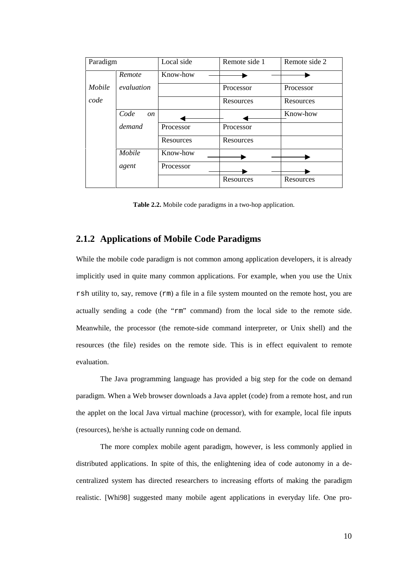| Paradigm |                       | Local side | Remote side 1 | Remote side 2 |
|----------|-----------------------|------------|---------------|---------------|
|          | Remote                | Know-how   |               |               |
| Mobile   | evaluation            |            | Processor     | Processor     |
| code     |                       |            | Resources     | Resources     |
|          | Code<br><sub>on</sub> |            |               | Know-how      |
|          | demand                | Processor  | Processor     |               |
|          |                       | Resources  | Resources     |               |
|          | Mobile                | Know-how   |               |               |
|          | agent                 | Processor  |               |               |
|          |                       |            | Resources     | Resources     |

**Table 2.2.** Mobile code paradigms in a two-hop application.

### **2.1.2 Applications of Mobile Code Paradigms**

While the mobile code paradigm is not common among application developers, it is already implicitly used in quite many common applications. For example, when you use the Unix rsh utility to, say, remove (rm) a file in a file system mounted on the remote host, you are actually sending a code (the "rm" command) from the local side to the remote side. Meanwhile, the processor (the remote-side command interpreter, or Unix shell) and the resources (the file) resides on the remote side. This is in effect equivalent to remote evaluation.

The Java programming language has provided a big step for the code on demand paradigm. When a Web browser downloads a Java applet (code) from a remote host, and run the applet on the local Java virtual machine (processor), with for example, local file inputs (resources), he/she is actually running code on demand.

The more complex mobile agent paradigm, however, is less commonly applied in distributed applications. In spite of this, the enlightening idea of code autonomy in a decentralized system has directed researchers to increasing efforts of making the paradigm realistic. [Whi98] suggested many mobile agent applications in everyday life. One pro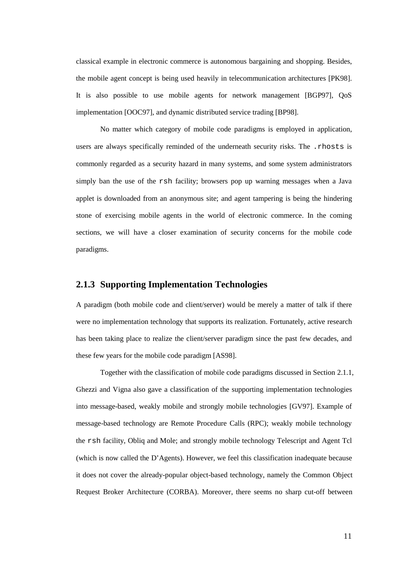classical example in electronic commerce is autonomous bargaining and shopping. Besides, the mobile agent concept is being used heavily in telecommunication architectures [PK98]. It is also possible to use mobile agents for network management [BGP97], QoS implementation [OOC97], and dynamic distributed service trading [BP98].

No matter which category of mobile code paradigms is employed in application, users are always specifically reminded of the underneath security risks. The .rhosts is commonly regarded as a security hazard in many systems, and some system administrators simply ban the use of the rsh facility; browsers pop up warning messages when a Java applet is downloaded from an anonymous site; and agent tampering is being the hindering stone of exercising mobile agents in the world of electronic commerce. In the coming sections, we will have a closer examination of security concerns for the mobile code paradigms.

### **2.1.3 Supporting Implementation Technologies**

A paradigm (both mobile code and client/server) would be merely a matter of talk if there were no implementation technology that supports its realization. Fortunately, active research has been taking place to realize the client/server paradigm since the past few decades, and these few years for the mobile code paradigm [AS98].

Together with the classification of mobile code paradigms discussed in Section 2.1.1, Ghezzi and Vigna also gave a classification of the supporting implementation technologies into message-based, weakly mobile and strongly mobile technologies [GV97]. Example of message-based technology are Remote Procedure Calls (RPC); weakly mobile technology the rsh facility, Obliq and Mole; and strongly mobile technology Telescript and Agent Tcl (which is now called the D'Agents). However, we feel this classification inadequate because it does not cover the already-popular object-based technology, namely the Common Object Request Broker Architecture (CORBA). Moreover, there seems no sharp cut-off between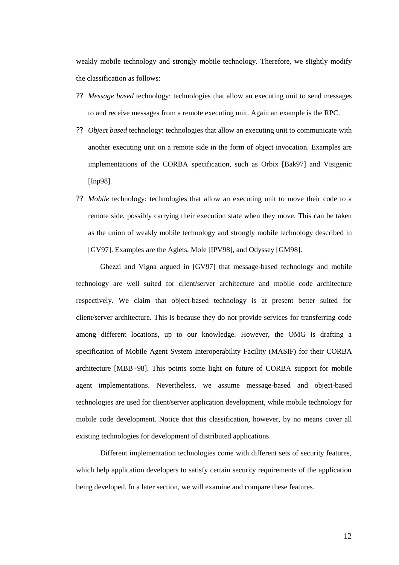weakly mobile technology and strongly mobile technology. Therefore, we slightly modify the classification as follows:

- ?? *Message based* technology: technologies that allow an executing unit to send messages to and receive messages from a remote executing unit. Again an example is the RPC.
- ?? *Object based* technology: technologies that allow an executing unit to communicate with another executing unit on a remote side in the form of object invocation. Examples are implementations of the CORBA specification, such as Orbix [Bak97] and Visigenic [Inp98].
- ?? *Mobile* technology: technologies that allow an executing unit to move their code to a remote side, possibly carrying their execution state when they move. This can be taken as the union of weakly mobile technology and strongly mobile technology described in [GV97]. Examples are the Aglets, Mole [IPV98], and Odyssey [GM98].

Ghezzi and Vigna argued in [GV97] that message-based technology and mobile technology are well suited for client/server architecture and mobile code architecture respectively. We claim that object-based technology is at present better suited for client/server architecture. This is because they do not provide services for transferring code among different locations, up to our knowledge. However, the OMG is drafting a specification of Mobile Agent System Interoperability Facility (MASIF) for their CORBA architecture [MBB+98]. This points some light on future of CORBA support for mobile agent implementations. Nevertheless, we assume message-based and object-based technologies are used for client/server application development, while mobile technology for mobile code development. Notice that this classification, however, by no means cover all existing technologies for development of distributed applications.

Different implementation technologies come with different sets of security features, which help application developers to satisfy certain security requirements of the application being developed. In a later section, we will examine and compare these features.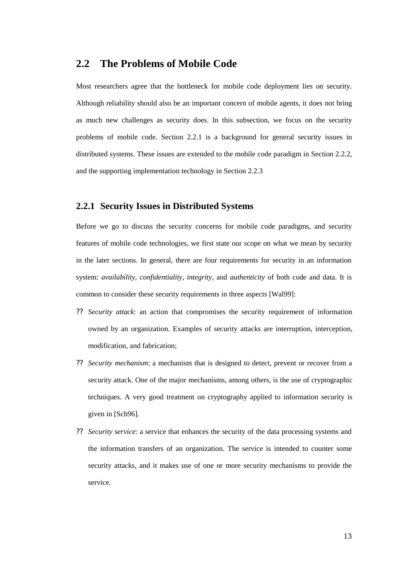## **2.2 The Problems of Mobile Code**

Most researchers agree that the bottleneck for mobile code deployment lies on security. Although reliability should also be an important concern of mobile agents, it does not bring as much new challenges as security does. In this subsection, we focus on the security problems of mobile code. Section 2.2.1 is a background for general security issues in distributed systems. These issues are extended to the mobile code paradigm in Section 2.2.2, and the supporting implementation technology in Section 2.2.3

### **2.2.1 Security Issues in Distributed Systems**

Before we go to discuss the security concerns for mobile code paradigms, and security features of mobile code technologies, we first state our scope on what we mean by security in the later sections. In general, there are four requirements for security in an information system: *availability*, *confidentiality*, *integrity*, and *authenticity* of both code and data. It is common to consider these security requirements in three aspects [Wal99]:

- ?? *Security attack*: an action that compromises the security requirement of information owned by an organization. Examples of security attacks are interruption, interception, modification, and fabrication;
- ?? *Security mechanism*: a mechanism that is designed to detect, prevent or recover from a security attack. One of the major mechanisms, among others, is the use of cryptographic techniques. A very good treatment on cryptography applied to information security is given in [Sch96].
- ?? *Security service*: a service that enhances the security of the data processing systems and the information transfers of an organization. The service is intended to counter some security attacks, and it makes use of one or more security mechanisms to provide the service.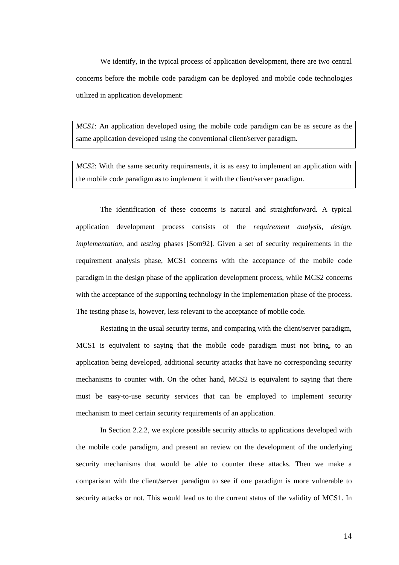We identify, in the typical process of application development, there are two central concerns before the mobile code paradigm can be deployed and mobile code technologies utilized in application development:

*MCS1*: An application developed using the mobile code paradigm can be as secure as the same application developed using the conventional client/server paradigm.

*MCS2*: With the same security requirements, it is as easy to implement an application with the mobile code paradigm as to implement it with the client/server paradigm.

The identification of these concerns is natural and straightforward. A typical application development process consists of the *requirement analysis*, *design*, *implementation*, and *testing* phases [Som92]. Given a set of security requirements in the requirement analysis phase, MCS1 concerns with the acceptance of the mobile code paradigm in the design phase of the application development process, while MCS2 concerns with the acceptance of the supporting technology in the implementation phase of the process. The testing phase is, however, less relevant to the acceptance of mobile code.

Restating in the usual security terms, and comparing with the client/server paradigm, MCS1 is equivalent to saying that the mobile code paradigm must not bring, to an application being developed, additional security attacks that have no corresponding security mechanisms to counter with. On the other hand, MCS2 is equivalent to saying that there must be easy-to-use security services that can be employed to implement security mechanism to meet certain security requirements of an application.

 In Section 2.2.2, we explore possible security attacks to applications developed with the mobile code paradigm, and present an review on the development of the underlying security mechanisms that would be able to counter these attacks. Then we make a comparison with the client/server paradigm to see if one paradigm is more vulnerable to security attacks or not. This would lead us to the current status of the validity of MCS1. In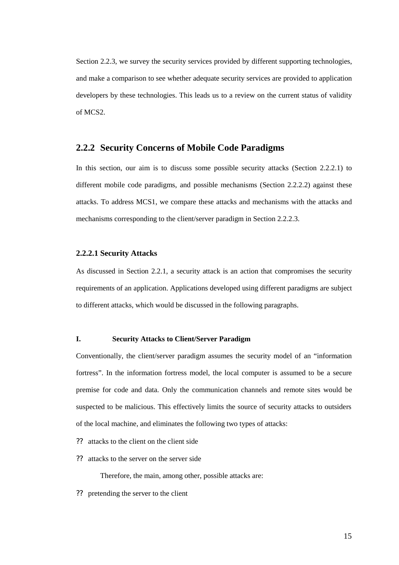Section 2.2.3, we survey the security services provided by different supporting technologies, and make a comparison to see whether adequate security services are provided to application developers by these technologies. This leads us to a review on the current status of validity of MCS2.

### **2.2.2 Security Concerns of Mobile Code Paradigms**

In this section, our aim is to discuss some possible security attacks (Section 2.2.2.1) to different mobile code paradigms, and possible mechanisms (Section 2.2.2.2) against these attacks. To address MCS1, we compare these attacks and mechanisms with the attacks and mechanisms corresponding to the client/server paradigm in Section 2.2.2.3.

### **2.2.2.1 Security Attacks**

As discussed in Section 2.2.1, a security attack is an action that compromises the security requirements of an application. Applications developed using different paradigms are subject to different attacks, which would be discussed in the following paragraphs.

#### **I. Security Attacks to Client/Server Paradigm**

Conventionally, the client/server paradigm assumes the security model of an "information fortress". In the information fortress model, the local computer is assumed to be a secure premise for code and data. Only the communication channels and remote sites would be suspected to be malicious. This effectively limits the source of security attacks to outsiders of the local machine, and eliminates the following two types of attacks:

- ?? attacks to the client on the client side
- ?? attacks to the server on the server side

Therefore, the main, among other, possible attacks are:

?? pretending the server to the client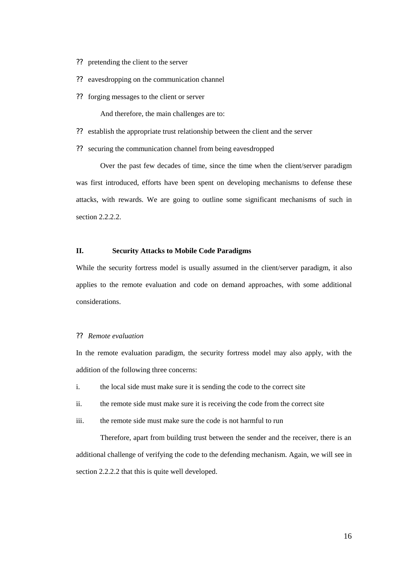- ?? pretending the client to the server
- ?? eavesdropping on the communication channel
- ?? forging messages to the client or server

And therefore, the main challenges are to:

- ?? establish the appropriate trust relationship between the client and the server
- ?? securing the communication channel from being eavesdropped

Over the past few decades of time, since the time when the client/server paradigm was first introduced, efforts have been spent on developing mechanisms to defense these attacks, with rewards. We are going to outline some significant mechanisms of such in section 2.2.2.2.

#### **II. Security Attacks to Mobile Code Paradigms**

While the security fortress model is usually assumed in the client/server paradigm, it also applies to the remote evaluation and code on demand approaches, with some additional considerations.

#### ?? *Remote evaluation*

In the remote evaluation paradigm, the security fortress model may also apply, with the addition of the following three concerns:

- i. the local side must make sure it is sending the code to the correct site
- ii. the remote side must make sure it is receiving the code from the correct site
- iii. the remote side must make sure the code is not harmful to run

Therefore, apart from building trust between the sender and the receiver, there is an additional challenge of verifying the code to the defending mechanism. Again, we will see in section 2.2.2.2 that this is quite well developed.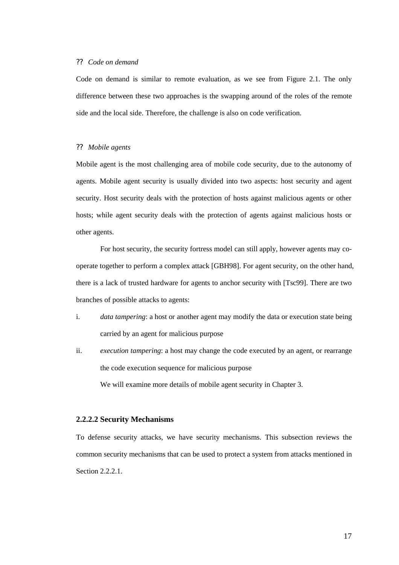#### ?? *Code on demand*

Code on demand is similar to remote evaluation, as we see from Figure 2.1. The only difference between these two approaches is the swapping around of the roles of the remote side and the local side. Therefore, the challenge is also on code verification.

#### ?? *Mobile agents*

Mobile agent is the most challenging area of mobile code security, due to the autonomy of agents. Mobile agent security is usually divided into two aspects: host security and agent security. Host security deals with the protection of hosts against malicious agents or other hosts; while agent security deals with the protection of agents against malicious hosts or other agents.

For host security, the security fortress model can still apply, however agents may cooperate together to perform a complex attack [GBH98]. For agent security, on the other hand, there is a lack of trusted hardware for agents to anchor security with [Tsc99]. There are two branches of possible attacks to agents:

- i. *data tampering*: a host or another agent may modify the data or execution state being carried by an agent for malicious purpose
- ii. *execution tampering*: a host may change the code executed by an agent, or rearrange the code execution sequence for malicious purpose

We will examine more details of mobile agent security in Chapter 3.

#### **2.2.2.2 Security Mechanisms**

To defense security attacks, we have security mechanisms. This subsection reviews the common security mechanisms that can be used to protect a system from attacks mentioned in Section 2.2.2.1.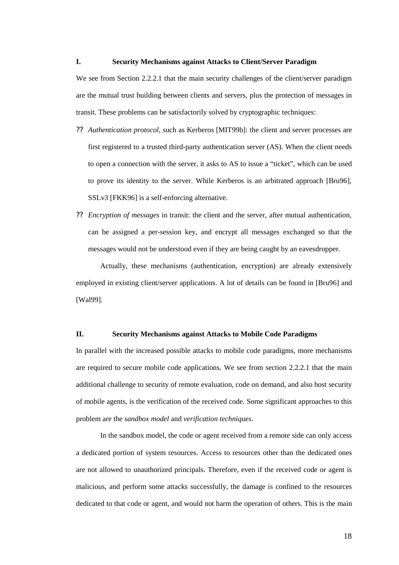#### **I. Security Mechanisms against Attacks to Client/Server Paradigm**

We see from Section 2.2.2.1 that the main security challenges of the client/server paradigm are the mutual trust building between clients and servers, plus the protection of messages in transit. These problems can be satisfactorily solved by cryptographic techniques:

- ?? *Authentication protocol*, such as Kerberos [MIT99b]: the client and server processes are first registered to a trusted third-party authentication server (AS). When the client needs to open a connection with the server, it asks to AS to issue a "ticket", which can be used to prove its identity to the server. While Kerberos is an arbitrated approach [Bru96], SSLv3 [FKK96] is a self-enforcing alternative.
- ?? *Encryption of messages* in transit: the client and the server, after mutual authentication, can be assigned a per-session key, and encrypt all messages exchanged so that the messages would not be understood even if they are being caught by an eavesdropper.

Actually, these mechanisms (authentication, encryption) are already extensively employed in existing client/server applications. A lot of details can be found in [Bru96] and [Wal99].

#### **II. Security Mechanisms against Attacks to Mobile Code Paradigms**

In parallel with the increased possible attacks to mobile code paradigms, more mechanisms are required to secure mobile code applications. We see from section 2.2.2.1 that the main additional challenge to security of remote evaluation, code on demand, and also host security of mobile agents, is the verification of the received code. Some significant approaches to this problem are the *sandbox model* and *verification techniques*.

In the sandbox model, the code or agent received from a remote side can only access a dedicated portion of system resources. Access to resources other than the dedicated ones are not allowed to unauthorized principals. Therefore, even if the received code or agent is malicious, and perform some attacks successfully, the damage is confined to the resources dedicated to that code or agent, and would not harm the operation of others. This is the main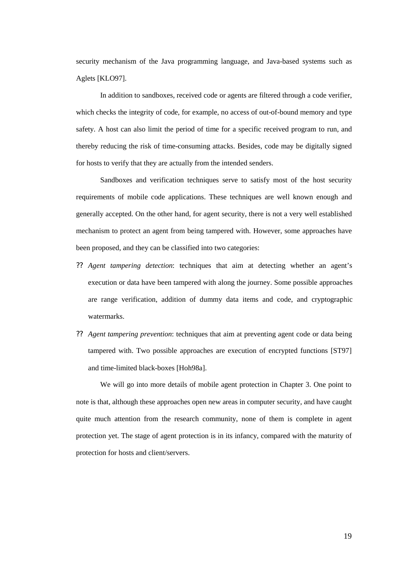security mechanism of the Java programming language, and Java-based systems such as Aglets [KLO97].

In addition to sandboxes, received code or agents are filtered through a code verifier, which checks the integrity of code, for example, no access of out-of-bound memory and type safety. A host can also limit the period of time for a specific received program to run, and thereby reducing the risk of time-consuming attacks. Besides, code may be digitally signed for hosts to verify that they are actually from the intended senders.

Sandboxes and verification techniques serve to satisfy most of the host security requirements of mobile code applications. These techniques are well known enough and generally accepted. On the other hand, for agent security, there is not a very well established mechanism to protect an agent from being tampered with. However, some approaches have been proposed, and they can be classified into two categories:

- ?? *Agent tampering detection*: techniques that aim at detecting whether an agent's execution or data have been tampered with along the journey. Some possible approaches are range verification, addition of dummy data items and code, and cryptographic watermarks.
- ?? *Agent tampering prevention*: techniques that aim at preventing agent code or data being tampered with. Two possible approaches are execution of encrypted functions [ST97] and time-limited black-boxes [Hoh98a].

We will go into more details of mobile agent protection in Chapter 3. One point to note is that, although these approaches open new areas in computer security, and have caught quite much attention from the research community, none of them is complete in agent protection yet. The stage of agent protection is in its infancy, compared with the maturity of protection for hosts and client/servers.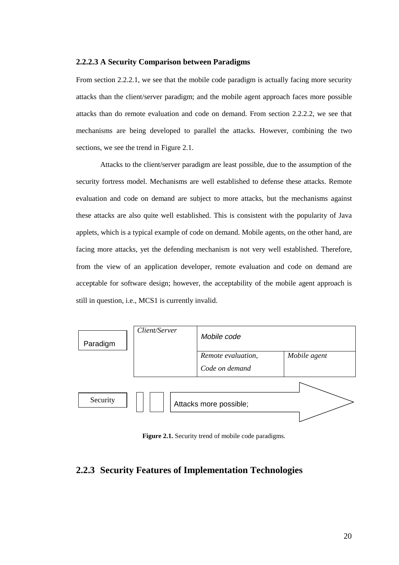#### **2.2.2.3 A Security Comparison between Paradigms**

From section 2.2.2.1, we see that the mobile code paradigm is actually facing more security attacks than the client/server paradigm; and the mobile agent approach faces more possible attacks than do remote evaluation and code on demand. From section 2.2.2.2, we see that mechanisms are being developed to parallel the attacks. However, combining the two sections, we see the trend in Figure 2.1.

Attacks to the client/server paradigm are least possible, due to the assumption of the security fortress model. Mechanisms are well established to defense these attacks. Remote evaluation and code on demand are subject to more attacks, but the mechanisms against these attacks are also quite well established. This is consistent with the popularity of Java applets, which is a typical example of code on demand. Mobile agents, on the other hand, are facing more attacks, yet the defending mechanism is not very well established. Therefore, from the view of an application developer, remote evaluation and code on demand are acceptable for software design; however, the acceptability of the mobile agent approach is still in question, i.e., MCS1 is currently invalid.

| Paradigm | Client/Server | Mobile code                          |              |
|----------|---------------|--------------------------------------|--------------|
|          |               | Remote evaluation,<br>Code on demand | Mobile agent |
| Security |               | Attacks more possible;               |              |

**Figure 2.1.** Security trend of mobile code paradigms.

## **2.2.3 Security Features of Implementation Technologies**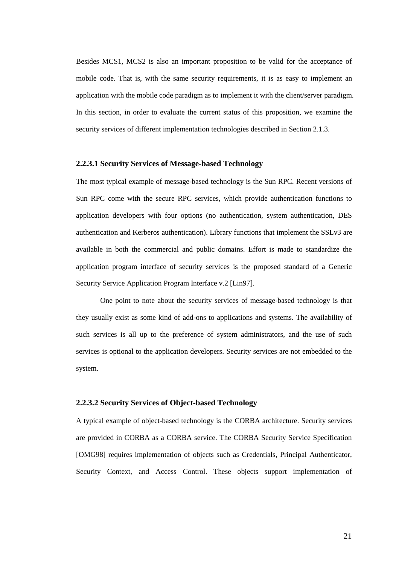Besides MCS1, MCS2 is also an important proposition to be valid for the acceptance of mobile code. That is, with the same security requirements, it is as easy to implement an application with the mobile code paradigm as to implement it with the client/server paradigm. In this section, in order to evaluate the current status of this proposition, we examine the security services of different implementation technologies described in Section 2.1.3.

#### **2.2.3.1 Security Services of Message-based Technology**

The most typical example of message-based technology is the Sun RPC. Recent versions of Sun RPC come with the secure RPC services, which provide authentication functions to application developers with four options (no authentication, system authentication, DES authentication and Kerberos authentication). Library functions that implement the SSLv3 are available in both the commercial and public domains. Effort is made to standardize the application program interface of security services is the proposed standard of a Generic Security Service Application Program Interface v.2 [Lin97].

One point to note about the security services of message-based technology is that they usually exist as some kind of add-ons to applications and systems. The availability of such services is all up to the preference of system administrators, and the use of such services is optional to the application developers. Security services are not embedded to the system.

#### **2.2.3.2 Security Services of Object-based Technology**

A typical example of object-based technology is the CORBA architecture. Security services are provided in CORBA as a CORBA service. The CORBA Security Service Specification [OMG98] requires implementation of objects such as Credentials, Principal Authenticator, Security Context, and Access Control. These objects support implementation of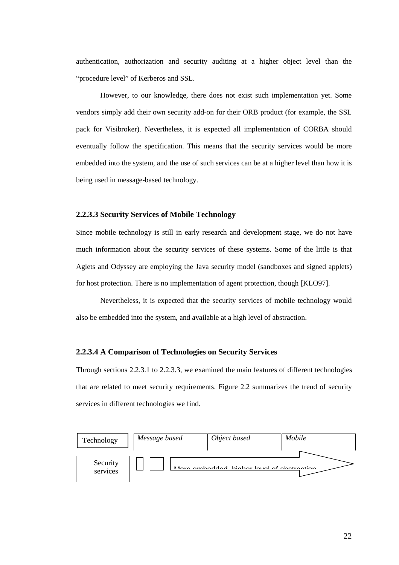authentication, authorization and security auditing at a higher object level than the "procedure level" of Kerberos and SSL.

However, to our knowledge, there does not exist such implementation yet. Some vendors simply add their own security add-on for their ORB product (for example, the SSL pack for Visibroker). Nevertheless, it is expected all implementation of CORBA should eventually follow the specification. This means that the security services would be more embedded into the system, and the use of such services can be at a higher level than how it is being used in message-based technology.

#### **2.2.3.3 Security Services of Mobile Technology**

Since mobile technology is still in early research and development stage, we do not have much information about the security services of these systems. Some of the little is that Aglets and Odyssey are employing the Java security model (sandboxes and signed applets) for host protection. There is no implementation of agent protection, though [KLO97].

Nevertheless, it is expected that the security services of mobile technology would also be embedded into the system, and available at a high level of abstraction.

#### **2.2.3.4 A Comparison of Technologies on Security Services**

Through sections 2.2.3.1 to 2.2.3.3, we examined the main features of different technologies that are related to meet security requirements. Figure 2.2 summarizes the trend of security services in different technologies we find.

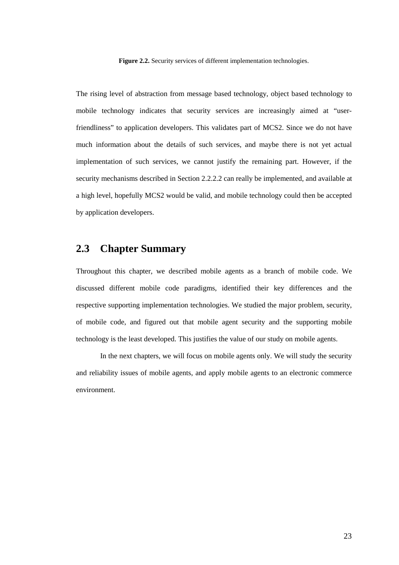**Figure 2.2.** Security services of different implementation technologies.

The rising level of abstraction from message based technology, object based technology to mobile technology indicates that security services are increasingly aimed at "userfriendliness" to application developers. This validates part of MCS2. Since we do not have much information about the details of such services, and maybe there is not yet actual implementation of such services, we cannot justify the remaining part. However, if the security mechanisms described in Section 2.2.2.2 can really be implemented, and available at a high level, hopefully MCS2 would be valid, and mobile technology could then be accepted by application developers.

## **2.3 Chapter Summary**

Throughout this chapter, we described mobile agents as a branch of mobile code. We discussed different mobile code paradigms, identified their key differences and the respective supporting implementation technologies. We studied the major problem, security, of mobile code, and figured out that mobile agent security and the supporting mobile technology is the least developed. This justifies the value of our study on mobile agents.

 In the next chapters, we will focus on mobile agents only. We will study the security and reliability issues of mobile agents, and apply mobile agents to an electronic commerce environment.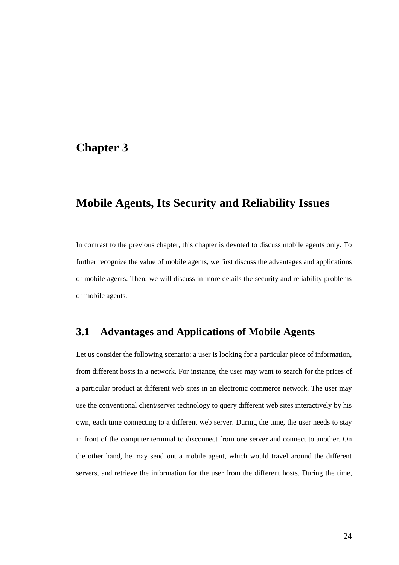# **Chapter 3**

# **Mobile Agents, Its Security and Reliability Issues**

In contrast to the previous chapter, this chapter is devoted to discuss mobile agents only. To further recognize the value of mobile agents, we first discuss the advantages and applications of mobile agents. Then, we will discuss in more details the security and reliability problems of mobile agents.

## **3.1 Advantages and Applications of Mobile Agents**

Let us consider the following scenario: a user is looking for a particular piece of information, from different hosts in a network. For instance, the user may want to search for the prices of a particular product at different web sites in an electronic commerce network. The user may use the conventional client/server technology to query different web sites interactively by his own, each time connecting to a different web server. During the time, the user needs to stay in front of the computer terminal to disconnect from one server and connect to another. On the other hand, he may send out a mobile agent, which would travel around the different servers, and retrieve the information for the user from the different hosts. During the time,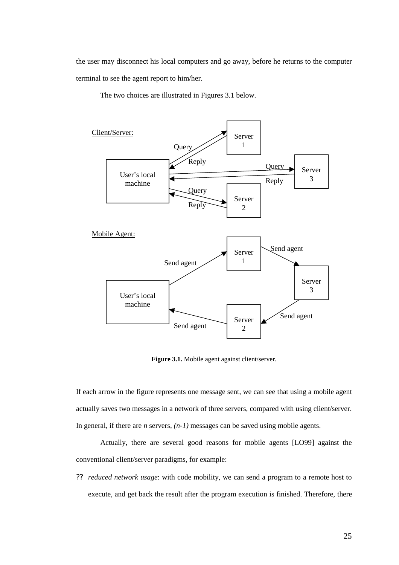the user may disconnect his local computers and go away, before he returns to the computer terminal to see the agent report to him/her.

The two choices are illustrated in Figures 3.1 below.



Figure 3.1. Mobile agent against client/server.

If each arrow in the figure represents one message sent, we can see that using a mobile agent actually saves two messages in a network of three servers, compared with using client/server. In general, if there are *n* servers, *(n-1)* messages can be saved using mobile agents.

Actually, there are several good reasons for mobile agents [LO99] against the conventional client/server paradigms, for example:

?? *reduced network usage*: with code mobility, we can send a program to a remote host to execute, and get back the result after the program execution is finished. Therefore, there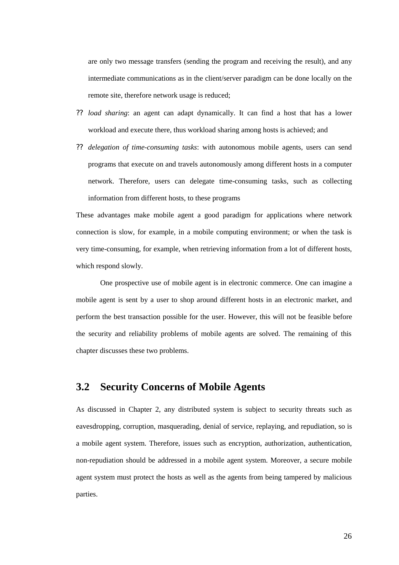are only two message transfers (sending the program and receiving the result), and any intermediate communications as in the client/server paradigm can be done locally on the remote site, therefore network usage is reduced;

- ?? *load sharing*: an agent can adapt dynamically. It can find a host that has a lower workload and execute there, thus workload sharing among hosts is achieved; and
- ?? *delegation of time-consuming tasks*: with autonomous mobile agents, users can send programs that execute on and travels autonomously among different hosts in a computer network. Therefore, users can delegate time-consuming tasks, such as collecting information from different hosts, to these programs

These advantages make mobile agent a good paradigm for applications where network connection is slow, for example, in a mobile computing environment; or when the task is very time-consuming, for example, when retrieving information from a lot of different hosts, which respond slowly.

 One prospective use of mobile agent is in electronic commerce. One can imagine a mobile agent is sent by a user to shop around different hosts in an electronic market, and perform the best transaction possible for the user. However, this will not be feasible before the security and reliability problems of mobile agents are solved. The remaining of this chapter discusses these two problems.

## **3.2 Security Concerns of Mobile Agents**

As discussed in Chapter 2, any distributed system is subject to security threats such as eavesdropping, corruption, masquerading, denial of service, replaying, and repudiation, so is a mobile agent system. Therefore, issues such as encryption, authorization, authentication, non-repudiation should be addressed in a mobile agent system. Moreover, a secure mobile agent system must protect the hosts as well as the agents from being tampered by malicious parties.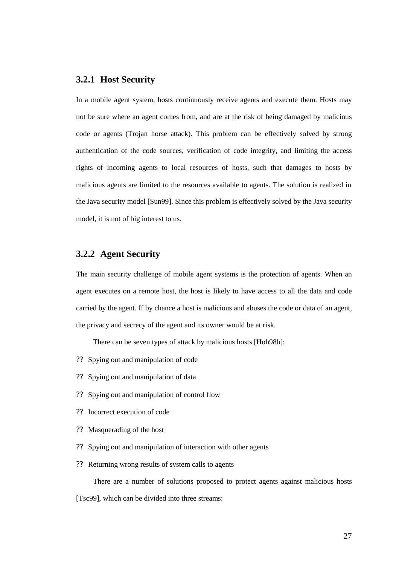### **3.2.1 Host Security**

In a mobile agent system, hosts continuously receive agents and execute them. Hosts may not be sure where an agent comes from, and are at the risk of being damaged by malicious code or agents (Trojan horse attack). This problem can be effectively solved by strong authentication of the code sources, verification of code integrity, and limiting the access rights of incoming agents to local resources of hosts, such that damages to hosts by malicious agents are limited to the resources available to agents. The solution is realized in the Java security model [Sun99]. Since this problem is effectively solved by the Java security model, it is not of big interest to us.

## **3.2.2 Agent Security**

The main security challenge of mobile agent systems is the protection of agents. When an agent executes on a remote host, the host is likely to have access to all the data and code carried by the agent. If by chance a host is malicious and abuses the code or data of an agent, the privacy and secrecy of the agent and its owner would be at risk.

There can be seven types of attack by malicious hosts [Hoh98b]:

- ?? Spying out and manipulation of code
- ?? Spying out and manipulation of data
- ?? Spying out and manipulation of control flow
- ?? Incorrect execution of code
- ?? Masquerading of the host
- ?? Spying out and manipulation of interaction with other agents
- ?? Returning wrong results of system calls to agents

There are a number of solutions proposed to protect agents against malicious hosts [Tsc99], which can be divided into three streams: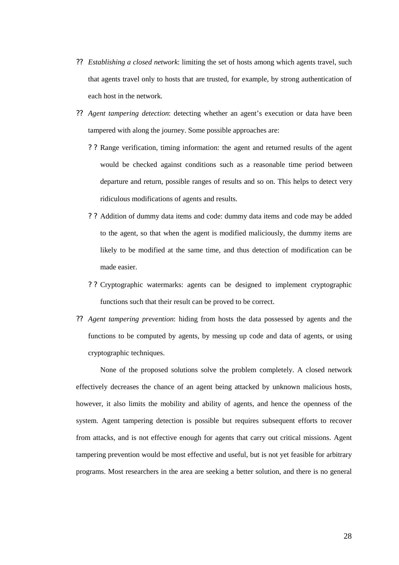- ?? *Establishing a closed network*: limiting the set of hosts among which agents travel, such that agents travel only to hosts that are trusted, for example, by strong authentication of each host in the network.
- ?? *Agent tampering detection*: detecting whether an agent's execution or data have been tampered with along the journey. Some possible approaches are:
	- ? ? Range verification, timing information: the agent and returned results of the agent would be checked against conditions such as a reasonable time period between departure and return, possible ranges of results and so on. This helps to detect very ridiculous modifications of agents and results.
	- ? ? Addition of dummy data items and code: dummy data items and code may be added to the agent, so that when the agent is modified maliciously, the dummy items are likely to be modified at the same time, and thus detection of modification can be made easier.
	- ? ? Cryptographic watermarks: agents can be designed to implement cryptographic functions such that their result can be proved to be correct.
- ?? *Agent tampering prevention*: hiding from hosts the data possessed by agents and the functions to be computed by agents, by messing up code and data of agents, or using cryptographic techniques.

None of the proposed solutions solve the problem completely. A closed network effectively decreases the chance of an agent being attacked by unknown malicious hosts, however, it also limits the mobility and ability of agents, and hence the openness of the system. Agent tampering detection is possible but requires subsequent efforts to recover from attacks, and is not effective enough for agents that carry out critical missions. Agent tampering prevention would be most effective and useful, but is not yet feasible for arbitrary programs. Most researchers in the area are seeking a better solution, and there is no general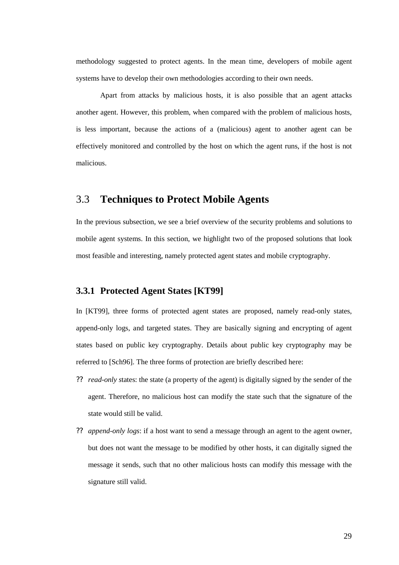methodology suggested to protect agents. In the mean time, developers of mobile agent systems have to develop their own methodologies according to their own needs.

Apart from attacks by malicious hosts, it is also possible that an agent attacks another agent. However, this problem, when compared with the problem of malicious hosts, is less important, because the actions of a (malicious) agent to another agent can be effectively monitored and controlled by the host on which the agent runs, if the host is not malicious.

### 3.3 **Techniques to Protect Mobile Agents**

In the previous subsection, we see a brief overview of the security problems and solutions to mobile agent systems. In this section, we highlight two of the proposed solutions that look most feasible and interesting, namely protected agent states and mobile cryptography.

### **3.3.1 Protected Agent States [KT99]**

In [KT99], three forms of protected agent states are proposed, namely read-only states, append-only logs, and targeted states. They are basically signing and encrypting of agent states based on public key cryptography. Details about public key cryptography may be referred to [Sch96]. The three forms of protection are briefly described here:

- ?? *read-only s*tates: the state (a property of the agent) is digitally signed by the sender of the agent. Therefore, no malicious host can modify the state such that the signature of the state would still be valid.
- ?? *append-only logs*: if a host want to send a message through an agent to the agent owner, but does not want the message to be modified by other hosts, it can digitally signed the message it sends, such that no other malicious hosts can modify this message with the signature still valid.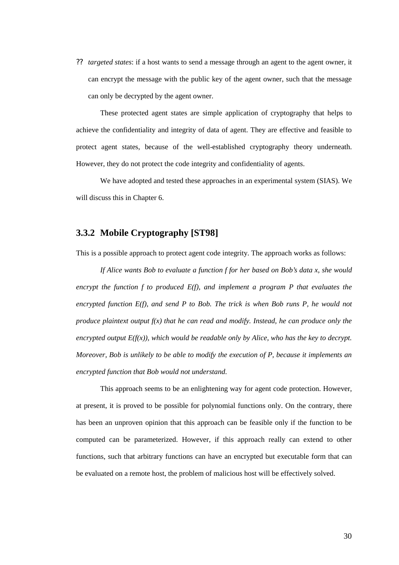?? *targeted states*: if a host wants to send a message through an agent to the agent owner, it can encrypt the message with the public key of the agent owner, such that the message can only be decrypted by the agent owner.

These protected agent states are simple application of cryptography that helps to achieve the confidentiality and integrity of data of agent. They are effective and feasible to protect agent states, because of the well-established cryptography theory underneath. However, they do not protect the code integrity and confidentiality of agents.

We have adopted and tested these approaches in an experimental system (SIAS). We will discuss this in Chapter 6.

### **3.3.2 Mobile Cryptography [ST98]**

This is a possible approach to protect agent code integrity. The approach works as follows:

*If Alice wants Bob to evaluate a function f for her based on Bob's data x, she would encrypt the function f to produced E(f), and implement a program P that evaluates the encrypted function E(f), and send P to Bob. The trick is when Bob runs P, he would not produce plaintext output f(x) that he can read and modify. Instead, he can produce only the encrypted output*  $E(f(x))$ *, which would be readable only by Alice, who has the key to decrypt. Moreover, Bob is unlikely to be able to modify the execution of P, because it implements an encrypted function that Bob would not understand.* 

This approach seems to be an enlightening way for agent code protection. However, at present, it is proved to be possible for polynomial functions only. On the contrary, there has been an unproven opinion that this approach can be feasible only if the function to be computed can be parameterized. However, if this approach really can extend to other functions, such that arbitrary functions can have an encrypted but executable form that can be evaluated on a remote host, the problem of malicious host will be effectively solved.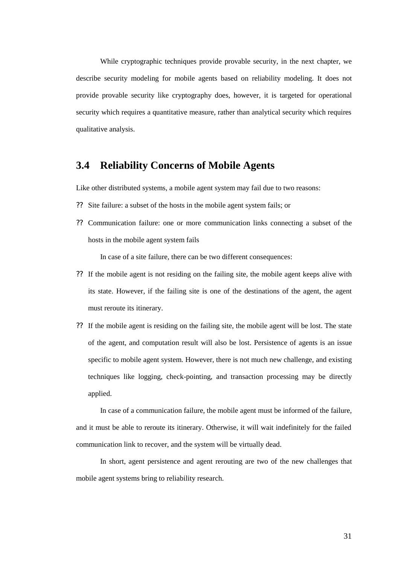While cryptographic techniques provide provable security, in the next chapter, we describe security modeling for mobile agents based on reliability modeling. It does not provide provable security like cryptography does, however, it is targeted for operational security which requires a quantitative measure, rather than analytical security which requires qualitative analysis.

### **3.4 Reliability Concerns of Mobile Agents**

Like other distributed systems, a mobile agent system may fail due to two reasons:

- ?? Site failure: a subset of the hosts in the mobile agent system fails; or
- ?? Communication failure: one or more communication links connecting a subset of the hosts in the mobile agent system fails

In case of a site failure, there can be two different consequences:

- ?? If the mobile agent is not residing on the failing site, the mobile agent keeps alive with its state. However, if the failing site is one of the destinations of the agent, the agent must reroute its itinerary.
- ?? If the mobile agent is residing on the failing site, the mobile agent will be lost. The state of the agent, and computation result will also be lost. Persistence of agents is an issue specific to mobile agent system. However, there is not much new challenge, and existing techniques like logging, check-pointing, and transaction processing may be directly applied.

In case of a communication failure, the mobile agent must be informed of the failure, and it must be able to reroute its itinerary. Otherwise, it will wait indefinitely for the failed communication link to recover, and the system will be virtually dead.

In short, agent persistence and agent rerouting are two of the new challenges that mobile agent systems bring to reliability research.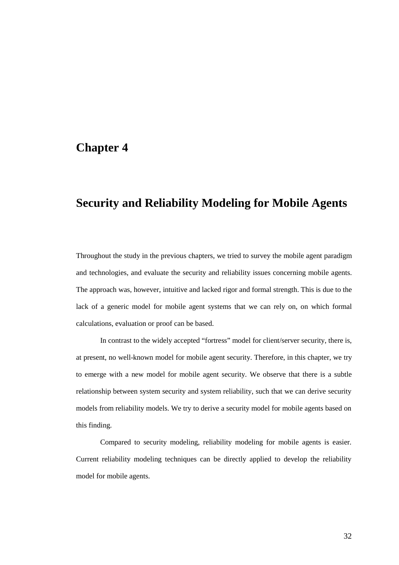## **Chapter 4**

# **Security and Reliability Modeling for Mobile Agents**

Throughout the study in the previous chapters, we tried to survey the mobile agent paradigm and technologies, and evaluate the security and reliability issues concerning mobile agents. The approach was, however, intuitive and lacked rigor and formal strength. This is due to the lack of a generic model for mobile agent systems that we can rely on, on which formal calculations, evaluation or proof can be based.

In contrast to the widely accepted "fortress" model for client/server security, there is, at present, no well-known model for mobile agent security. Therefore, in this chapter, we try to emerge with a new model for mobile agent security. We observe that there is a subtle relationship between system security and system reliability, such that we can derive security models from reliability models. We try to derive a security model for mobile agents based on this finding.

Compared to security modeling, reliability modeling for mobile agents is easier. Current reliability modeling techniques can be directly applied to develop the reliability model for mobile agents.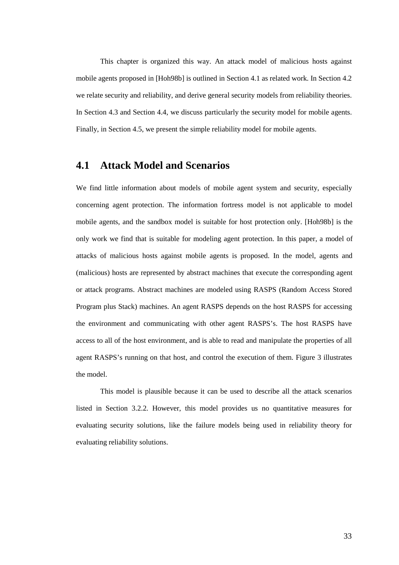This chapter is organized this way. An attack model of malicious hosts against mobile agents proposed in [Hoh98b] is outlined in Section 4.1 as related work. In Section 4.2 we relate security and reliability, and derive general security models from reliability theories. In Section 4.3 and Section 4.4, we discuss particularly the security model for mobile agents. Finally, in Section 4.5, we present the simple reliability model for mobile agents.

## **4.1 Attack Model and Scenarios**

We find little information about models of mobile agent system and security, especially concerning agent protection. The information fortress model is not applicable to model mobile agents, and the sandbox model is suitable for host protection only. [Hoh98b] is the only work we find that is suitable for modeling agent protection. In this paper, a model of attacks of malicious hosts against mobile agents is proposed. In the model, agents and (malicious) hosts are represented by abstract machines that execute the corresponding agent or attack programs. Abstract machines are modeled using RASPS (Random Access Stored Program plus Stack) machines. An agent RASPS depends on the host RASPS for accessing the environment and communicating with other agent RASPS's. The host RASPS have access to all of the host environment, and is able to read and manipulate the properties of all agent RASPS's running on that host, and control the execution of them. Figure 3 illustrates the model.

 This model is plausible because it can be used to describe all the attack scenarios listed in Section 3.2.2. However, this model provides us no quantitative measures for evaluating security solutions, like the failure models being used in reliability theory for evaluating reliability solutions.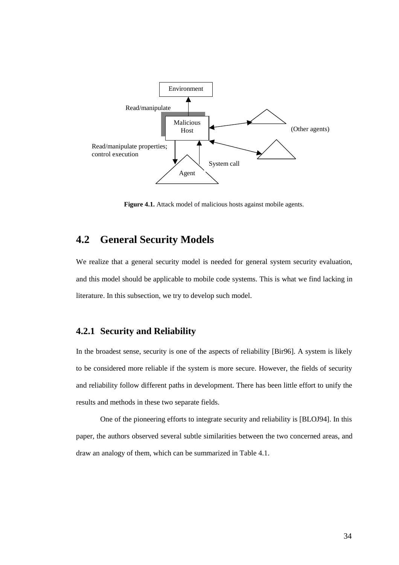

Figure 4.1. Attack model of malicious hosts against mobile agents.

## **4.2 General Security Models**

We realize that a general security model is needed for general system security evaluation, and this model should be applicable to mobile code systems. This is what we find lacking in literature. In this subsection, we try to develop such model.

### **4.2.1 Security and Reliability**

In the broadest sense, security is one of the aspects of reliability [Bir96]. A system is likely to be considered more reliable if the system is more secure. However, the fields of security and reliability follow different paths in development. There has been little effort to unify the results and methods in these two separate fields.

One of the pioneering efforts to integrate security and reliability is [BLOJ94]. In this paper, the authors observed several subtle similarities between the two concerned areas, and draw an analogy of them, which can be summarized in Table 4.1.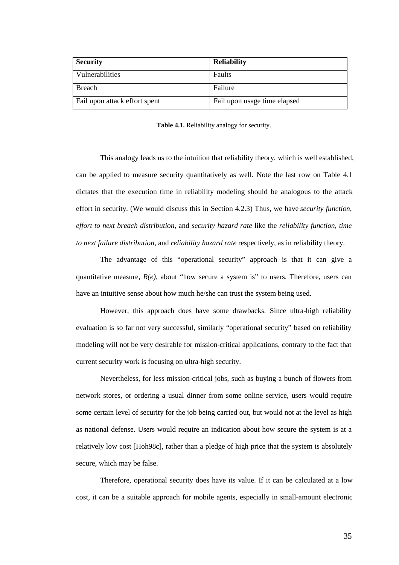| <b>Security</b>               | <b>Reliability</b>           |
|-------------------------------|------------------------------|
| Vulnerabilities               | Faults                       |
| Breach                        | Failure                      |
| Fail upon attack effort spent | Fail upon usage time elapsed |

**Table 4.1.** Reliability analogy for security.

This analogy leads us to the intuition that reliability theory, which is well established, can be applied to measure security quantitatively as well. Note the last row on Table 4.1 dictates that the execution time in reliability modeling should be analogous to the attack effort in security. (We would discuss this in Section 4.2.3) Thus, we have *security function*, *effort to next breach distribution*, and *security hazard rate* like the *reliability function*, *time to next failure distribution*, and *reliability hazard rate* respectively, as in reliability theory.

The advantage of this "operational security" approach is that it can give a quantitative measure,  $R(e)$ , about "how secure a system is" to users. Therefore, users can have an intuitive sense about how much he/she can trust the system being used.

 However, this approach does have some drawbacks. Since ultra-high reliability evaluation is so far not very successful, similarly "operational security" based on reliability modeling will not be very desirable for mission-critical applications, contrary to the fact that current security work is focusing on ultra-high security.

Nevertheless, for less mission-critical jobs, such as buying a bunch of flowers from network stores, or ordering a usual dinner from some online service, users would require some certain level of security for the job being carried out, but would not at the level as high as national defense. Users would require an indication about how secure the system is at a relatively low cost [Hoh98c], rather than a pledge of high price that the system is absolutely secure, which may be false.

Therefore, operational security does have its value. If it can be calculated at a low cost, it can be a suitable approach for mobile agents, especially in small-amount electronic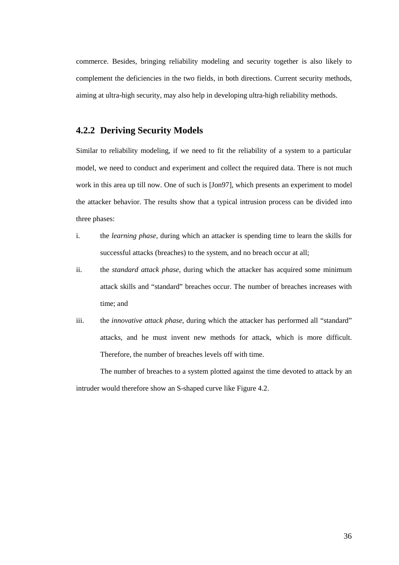commerce. Besides, bringing reliability modeling and security together is also likely to complement the deficiencies in the two fields, in both directions. Current security methods, aiming at ultra-high security, may also help in developing ultra-high reliability methods.

### **4.2.2 Deriving Security Models**

Similar to reliability modeling, if we need to fit the reliability of a system to a particular model, we need to conduct and experiment and collect the required data. There is not much work in this area up till now. One of such is [Jon97], which presents an experiment to model the attacker behavior. The results show that a typical intrusion process can be divided into three phases:

- i. the *learning phase,* during which an attacker is spending time to learn the skills for successful attacks (breaches) to the system, and no breach occur at all;
- ii. the *standard attack phase*, during which the attacker has acquired some minimum attack skills and "standard" breaches occur. The number of breaches increases with time; and
- iii. the *innovative attack phase*, during which the attacker has performed all "standard" attacks, and he must invent new methods for attack, which is more difficult. Therefore, the number of breaches levels off with time.

The number of breaches to a system plotted against the time devoted to attack by an intruder would therefore show an S-shaped curve like Figure 4.2.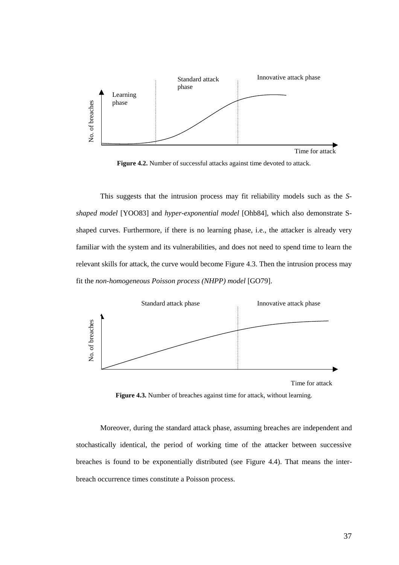

Figure 4.2. Number of successful attacks against time devoted to attack.

This suggests that the intrusion process may fit reliability models such as the *Sshaped model* [YOO83] and *hyper-exponential model* [Ohb84], which also demonstrate Sshaped curves. Furthermore, if there is no learning phase, i.e., the attacker is already very familiar with the system and its vulnerabilities, and does not need to spend time to learn the relevant skills for attack, the curve would become Figure 4.3. Then the intrusion process may fit the *non-homogeneous Poisson process (NHPP) model* [GO79]. Figure 4.2. Number of successful attacks age<br>  $\frac{26}{5}$ <br>
Figure 4.2. Number of successful attacks age<br>
Shaped anodel [YOO83] and *hyper-exponential mode*<br>
shaped curves. Furthermore, if there is no learning p<br>
familiar w



Time for attack

**Figure 4.3.** Number of breaches against time for attack, without learning.

Moreover, during the standard attack phase, assuming breaches are independent and stochastically identical, the period of working time of the attacker between successive breaches is found to be exponentially distributed (see Figure 4.4). That means the inter-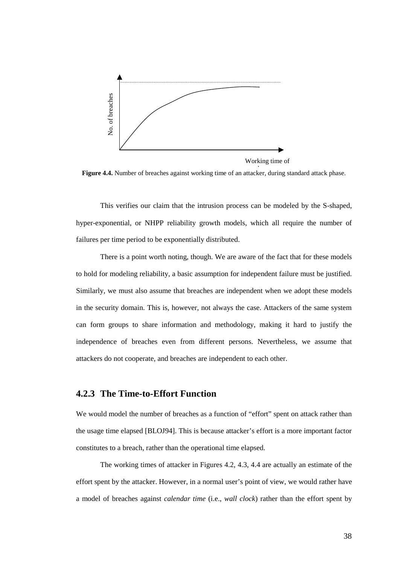

Working time of

**Figure 4.4.** Number of breaches against working time of an attacker, during standard attack phase.

This verifies our claim that the intrusion process can be modeled by the S-shaped, hyper-exponential, or NHPP reliability growth models, which all require the number of failures per time period to be exponentially distributed.

There is a point worth noting, though. We are aware of the fact that for these models to hold for modeling reliability, a basic assumption for independent failure must be justified. Similarly, we must also assume that breaches are independent when we adopt these models in the security domain. This is, however, not always the case. Attackers of the same system can form groups to share information and methodology, making it hard to justify the independence of breaches even from different persons. Nevertheless, we assume that attackers do not cooperate, and breaches are independent to each other. **Example 14.** Number of breaches against working time of an attacker, during standard attack phase.<br>
This verifies our chain that the intension process can be modeled by the S-shaped,<br>
hyper-exponential, or NHPP reliabilit

#### **4.2.3 The Time-to-Effort Function**

We would model the number of breaches as a function of "effort" spent on attack rather than the usage time elapsed [BLOJ94]. This is because attacker's effort is a more important factor constitutes to a breach, rather than the operational time elapsed.

The working times of attacker in Figures 4.2, 4.3, 4.4 are actually an estimate of the effort spent by the attacker. However, in a normal user's point of view, we would rather have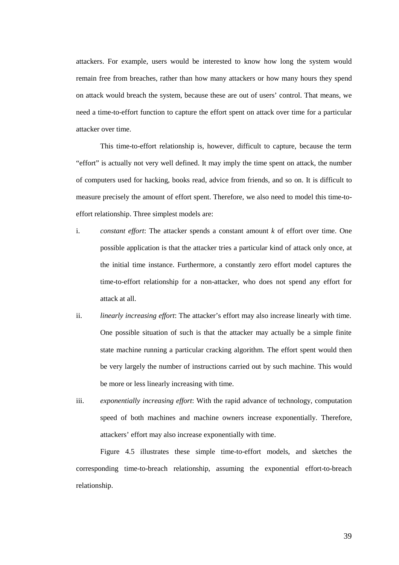attackers. For example, users would be interested to know how long the system would remain free from breaches, rather than how many attackers or how many hours they spend on attack would breach the system, because these are out of users' control. That means, we need a time-to-effort function to capture the effort spent on attack over time for a particular attacker over time.

This time-to-effort relationship is, however, difficult to capture, because the term "effort" is actually not very well defined. It may imply the time spent on attack, the number of computers used for hacking, books read, advice from friends, and so on. It is difficult to measure precisely the amount of effort spent. Therefore, we also need to model this time-toeffort relationship. Three simplest models are:

- i. *constant effort*: The attacker spends a constant amount *k* of effort over time. One possible application is that the attacker tries a particular kind of attack only once, at the initial time instance. Furthermore, a constantly zero effort model captures the time-to-effort relationship for a non-attacker, who does not spend any effort for attack at all.
- ii. *linearly increasing effort*: The attacker's effort may also increase linearly with time. One possible situation of such is that the attacker may actually be a simple finite state machine running a particular cracking algorithm. The effort spent would then be very largely the number of instructions carried out by such machine. This would be more or less linearly increasing with time.
- iii. *exponentially increasing effort*: With the rapid advance of technology, computation speed of both machines and machine owners increase exponentially. Therefore, attackers' effort may also increase exponentially with time.

Figure 4.5 illustrates these simple time-to-effort models, and sketches the corresponding time-to-breach relationship, assuming the exponential effort-to-breach relationship.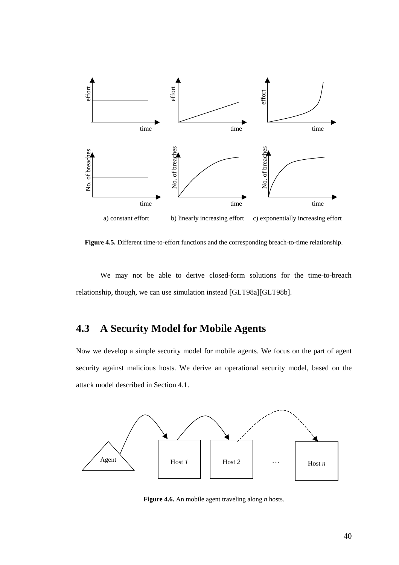

**Figure 4.5.** Different time-to-effort functions and the corresponding breach-to-time relationship.

We may not be able to derive closed-form solutions for the time-to-breach relationship, though, we can use simulation instead [GLT98a][GLT98b].

# **4.3 A Security Model for Mobile Agents**

Now we develop a simple security model for mobile agents. We focus on the part of agent security against malicious hosts. We derive an operational security model, based on the attack model described in Section 4.1.

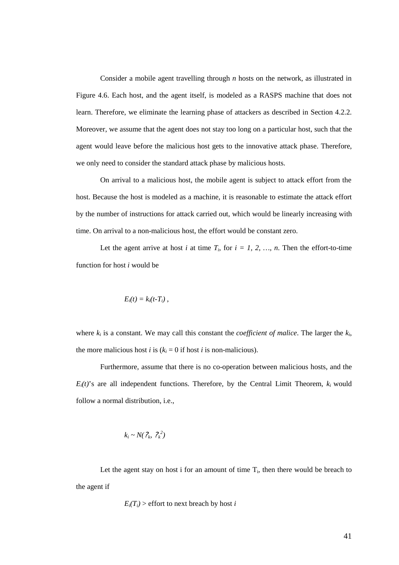Consider a mobile agent travelling through *n* hosts on the network, as illustrated in Figure 4.6. Each host, and the agent itself, is modeled as a RASPS machine that does not learn. Therefore, we eliminate the learning phase of attackers as described in Section 4.2.2. Moreover, we assume that the agent does not stay too long on a particular host, such that the agent would leave before the malicious host gets to the innovative attack phase. Therefore, we only need to consider the standard attack phase by malicious hosts.

On arrival to a malicious host, the mobile agent is subject to attack effort from the host. Because the host is modeled as a machine, it is reasonable to estimate the attack effort by the number of instructions for attack carried out, which would be linearly increasing with time. On arrival to a non-malicious host, the effort would be constant zero.

Let the agent arrive at host *i* at time  $T_i$ , for  $i = 1, 2, ..., n$ . Then the effort-to-time function for host *i* would be

$$
E_i(t)=k_i(t-T_i)\;,
$$

where  $k_i$  is a constant. We may call this constant the *coefficient of malice*. The larger the  $k_i$ , the more malicious host *i* is  $(k<sub>i</sub> = 0$  if host *i* is non-malicious).

Furthermore, assume that there is no co-operation between malicious hosts, and the  $E_i(t)$ 's are all independent functions. Therefore, by the Central Limit Theorem,  $k_i$  would follow a normal distribution, i.e.,

$$
k_i \sim N(\mathcal{P}_k, \mathcal{P}_k^2)
$$

Let the agent stay on host i for an amount of time  $T_i$ , then there would be breach to the agent if

$$
E_i(T_i)
$$
 > effort to next breach by host *i*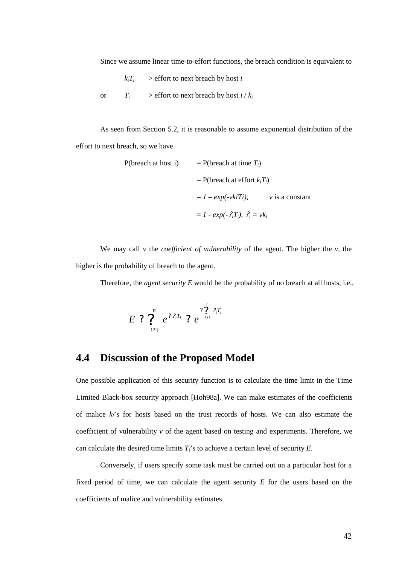Since we assume linear time-to-effort functions, the breach condition is equivalent to

 $k_i T_i$  > effort to next breach by host *i* 

or  $T_i$  > effort to next breach by host  $i / k_i$ 

As seen from Section 5.2, it is reasonable to assume exponential distribution of the effort to next breach, so we have

P(breach at host i) = P(breach at time 
$$
T_i
$$
)  
\n= P(breach at effort  $k_iT_i$ )  
\n=  $1 - exp(-vkiT_i)$ ,  $v$  is a constant  
\n=  $1 - exp(-?_iT_i)$ ,  $?_i = vk_i$ 

We may call *v* the *coefficient of vulnerability* of the agent. The higher the *v*, the higher is the probability of breach to the agent.

Therefore, the *agent security E* would be the probability of no breach at all hosts, i.e.,

$$
E \ ? \ \overset{n}{\underset{i?1}{\sum}} \ e^{\ ? \ ?_{i} T_{i}} \ ? \ e^{\overset{n}{\underset{i?1}{\sum}} \ ?_{i} T_{i}}
$$

## **4.4 Discussion of the Proposed Model**

One possible application of this security function is to calculate the time limit in the Time Limited Black-box security approach [Hoh98a]. We can make estimates of the coefficients of malice *ki*'s for hosts based on the trust records of hosts. We can also estimate the coefficient of vulnerability  $\nu$  of the agent based on testing and experiments. Therefore, we can calculate the desired time limits  $T_i$ 's to achieve a certain level of security  $E$ .

Conversely, if users specify some task must be carried out on a particular host for a fixed period of time, we can calculate the agent security *E* for the users based on the coefficients of malice and vulnerability estimates.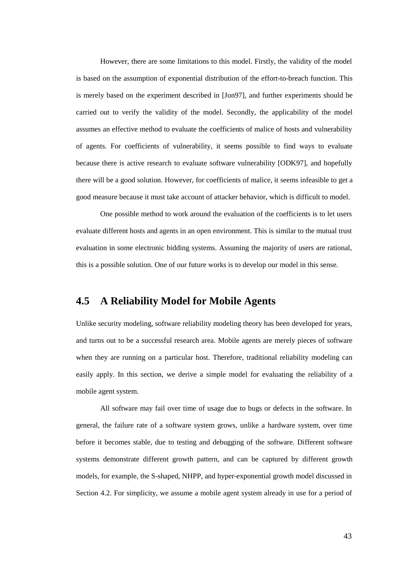However, there are some limitations to this model. Firstly, the validity of the model is based on the assumption of exponential distribution of the effort-to-breach function. This is merely based on the experiment described in [Jon97], and further experiments should be carried out to verify the validity of the model. Secondly, the applicability of the model assumes an effective method to evaluate the coefficients of malice of hosts and vulnerability of agents. For coefficients of vulnerability, it seems possible to find ways to evaluate because there is active research to evaluate software vulnerability [ODK97], and hopefully there will be a good solution. However, for coefficients of malice, it seems infeasible to get a good measure because it must take account of attacker behavior, which is difficult to model.

 One possible method to work around the evaluation of the coefficients is to let users evaluate different hosts and agents in an open environment. This is similar to the mutual trust evaluation in some electronic bidding systems. Assuming the majority of users are rational, this is a possible solution. One of our future works is to develop our model in this sense.

### **4.5 A Reliability Model for Mobile Agents**

Unlike security modeling, software reliability modeling theory has been developed for years, and turns out to be a successful research area. Mobile agents are merely pieces of software when they are running on a particular host. Therefore, traditional reliability modeling can easily apply. In this section, we derive a simple model for evaluating the reliability of a mobile agent system.

All software may fail over time of usage due to bugs or defects in the software. In general, the failure rate of a software system grows, unlike a hardware system, over time before it becomes stable, due to testing and debugging of the software. Different software systems demonstrate different growth pattern, and can be captured by different growth models, for example, the S-shaped, NHPP, and hyper-exponential growth model discussed in Section 4.2. For simplicity, we assume a mobile agent system already in use for a period of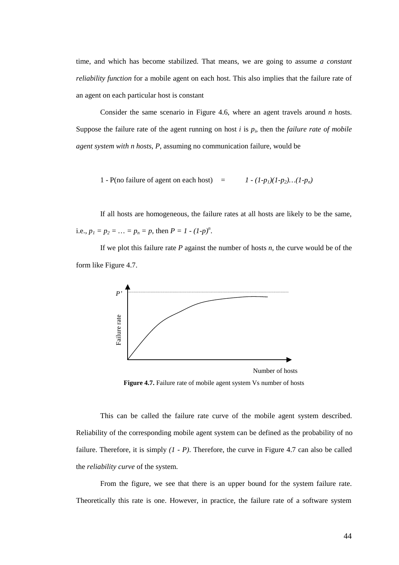time, and which has become stabilized. That means, we are going to assume *a constant reliability function* for a mobile agent on each host. This also implies that the failure rate of an agent on each particular host is constant

Consider the same scenario in Figure 4.6, where an agent travels around *n* hosts. Suppose the failure rate of the agent running on host  $i$  is  $p_i$ , then the *failure rate of mobile agent system with n hosts*, *P*, assuming no communication failure, would be

1 - P(no failure of agent on each host) =  $1 - (1-p_1)(1-p_2)...(1-p_n)$ 

If all hosts are homogeneous, the failure rates at all hosts are likely to be the same, i.e.,  $p_1 = p_2 = ... = p_n = p$ , then  $P = I - (I-p)^n$ .

If we plot this failure rate *P* against the number of hosts *n*, the curve would be of the form like Figure 4.7.



Figure 4.7. Failure rate of mobile agent system Vs number of hosts

 This can be called the failure rate curve of the mobile agent system described. Reliability of the corresponding mobile agent system can be defined as the probability of no failure. Therefore, it is simply *(1 - P)*. Therefore, the curve in Figure 4.7 can also be called the *reliability curve* of the system. Theoretically this rate is one. However, in practice, the failure rate is one. However, in practice, the failure rate is a software system  $\frac{1}{2}$  and  $\frac{1}{2}$  and  $\frac{1}{2}$  and  $\frac{1}{2}$  and  $\frac{1}{2}$  and  $\frac{1}{2}$  and

From the figure, we see that there is an upper bound for the system failure rate.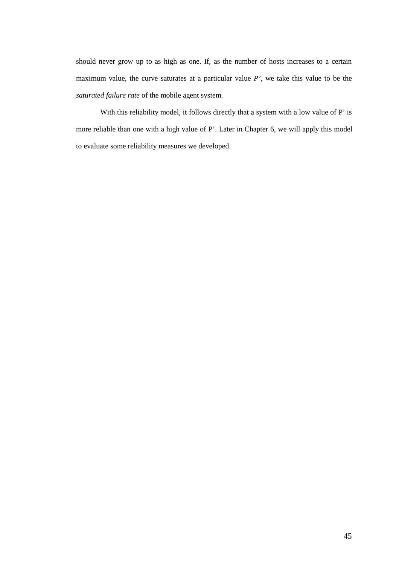should never grow up to as high as one. If, as the number of hosts increases to a certain maximum value, the curve saturates at a particular value *P'*, we take this value to be the *saturated failure rate* of the mobile agent system.

 With this reliability model, it follows directly that a system with a low value of P' is more reliable than one with a high value of P'. Later in Chapter 6, we will apply this model to evaluate some reliability measures we developed.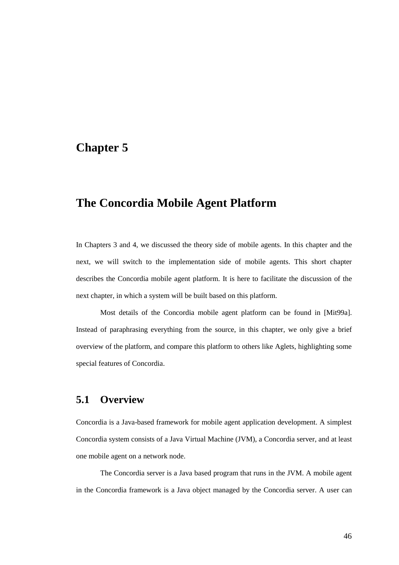# **Chapter 5**

# **The Concordia Mobile Agent Platform**

In Chapters 3 and 4, we discussed the theory side of mobile agents. In this chapter and the next, we will switch to the implementation side of mobile agents. This short chapter describes the Concordia mobile agent platform. It is here to facilitate the discussion of the next chapter, in which a system will be built based on this platform.

 Most details of the Concordia mobile agent platform can be found in [Mit99a]. Instead of paraphrasing everything from the source, in this chapter, we only give a brief overview of the platform, and compare this platform to others like Aglets, highlighting some special features of Concordia.

### **5.1 Overview**

Concordia is a Java-based framework for mobile agent application development. A simplest Concordia system consists of a Java Virtual Machine (JVM), a Concordia server, and at least one mobile agent on a network node.

The Concordia server is a Java based program that runs in the JVM. A mobile agent in the Concordia framework is a Java object managed by the Concordia server. A user can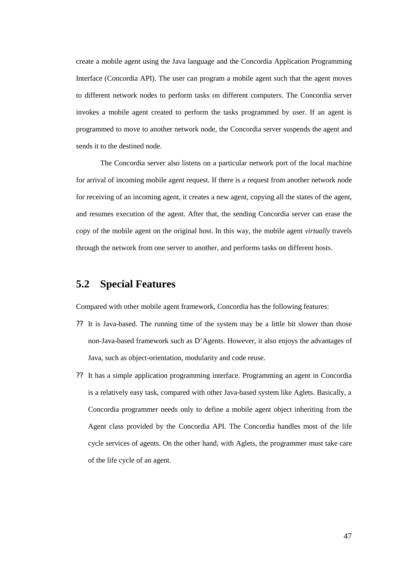create a mobile agent using the Java language and the Concordia Application Programming Interface (Concordia API). The user can program a mobile agent such that the agent moves to different network nodes to perform tasks on different computers. The Concordia server invokes a mobile agent created to perform the tasks programmed by user. If an agent is programmed to move to another network node, the Concordia server suspends the agent and sends it to the destined node.

The Concordia server also listens on a particular network port of the local machine for arrival of incoming mobile agent request. If there is a request from another network node for receiving of an incoming agent, it creates a new agent, copying all the states of the agent, and resumes execution of the agent. After that, the sending Concordia server can erase the copy of the mobile agent on the original host. In this way, the mobile agent *virtually* travels through the network from one server to another, and performs tasks on different hosts.

## **5.2 Special Features**

Compared with other mobile agent framework, Concordia has the following features:

- ?? It is Java-based. The running time of the system may be a little bit slower than those non-Java-based framework such as D'Agents. However, it also enjoys the advantages of Java, such as object-orientation, modularity and code reuse.
- ?? It has a simple application programming interface. Programming an agent in Concordia is a relatively easy task, compared with other Java-based system like Aglets. Basically, a Concordia programmer needs only to define a mobile agent object inheriting from the Agent class provided by the Concordia API. The Concordia handles most of the life cycle services of agents. On the other hand, with Aglets, the programmer must take care of the life cycle of an agent.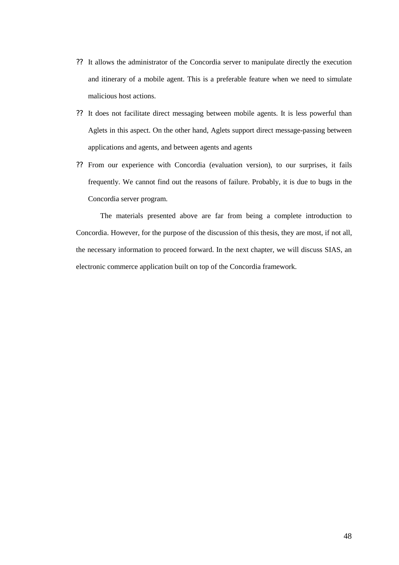- ?? It allows the administrator of the Concordia server to manipulate directly the execution and itinerary of a mobile agent. This is a preferable feature when we need to simulate malicious host actions.
- ?? It does not facilitate direct messaging between mobile agents. It is less powerful than Aglets in this aspect. On the other hand, Aglets support direct message-passing between applications and agents, and between agents and agents
- ?? From our experience with Concordia (evaluation version), to our surprises, it fails frequently. We cannot find out the reasons of failure. Probably, it is due to bugs in the Concordia server program.

The materials presented above are far from being a complete introduction to Concordia. However, for the purpose of the discussion of this thesis, they are most, if not all, the necessary information to proceed forward. In the next chapter, we will discuss SIAS, an electronic commerce application built on top of the Concordia framework.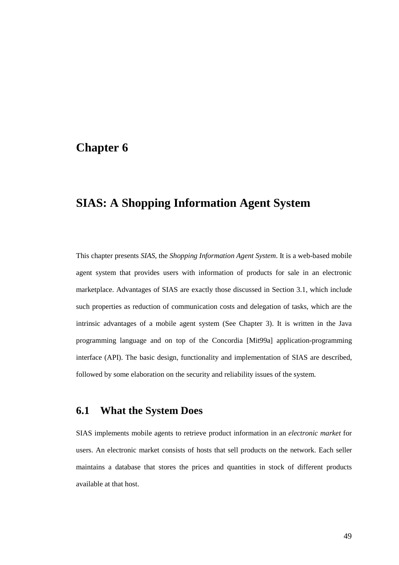## **Chapter 6**

# **SIAS: A Shopping Information Agent System**

This chapter presents *SIAS*, the *Shopping Information Agent System*. It is a web-based mobile agent system that provides users with information of products for sale in an electronic marketplace. Advantages of SIAS are exactly those discussed in Section 3.1, which include such properties as reduction of communication costs and delegation of tasks, which are the intrinsic advantages of a mobile agent system (See Chapter 3). It is written in the Java programming language and on top of the Concordia [Mit99a] application-programming interface (API). The basic design, functionality and implementation of SIAS are described, followed by some elaboration on the security and reliability issues of the system.

## **6.1 What the System Does**

SIAS implements mobile agents to retrieve product information in an *electronic market* for users. An electronic market consists of hosts that sell products on the network. Each seller maintains a database that stores the prices and quantities in stock of different products available at that host.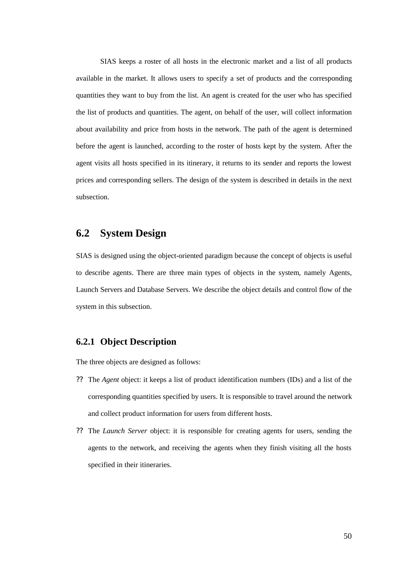SIAS keeps a roster of all hosts in the electronic market and a list of all products available in the market. It allows users to specify a set of products and the corresponding quantities they want to buy from the list. An agent is created for the user who has specified the list of products and quantities. The agent, on behalf of the user, will collect information about availability and price from hosts in the network. The path of the agent is determined before the agent is launched, according to the roster of hosts kept by the system. After the agent visits all hosts specified in its itinerary, it returns to its sender and reports the lowest prices and corresponding sellers. The design of the system is described in details in the next subsection.

## **6.2 System Design**

SIAS is designed using the object-oriented paradigm because the concept of objects is useful to describe agents. There are three main types of objects in the system, namely Agents, Launch Servers and Database Servers. We describe the object details and control flow of the system in this subsection.

### **6.2.1 Object Description**

The three objects are designed as follows:

- ?? The *Agent* object: it keeps a list of product identification numbers (IDs) and a list of the corresponding quantities specified by users. It is responsible to travel around the network and collect product information for users from different hosts.
- ?? The *Launch Server* object: it is responsible for creating agents for users, sending the agents to the network, and receiving the agents when they finish visiting all the hosts specified in their itineraries.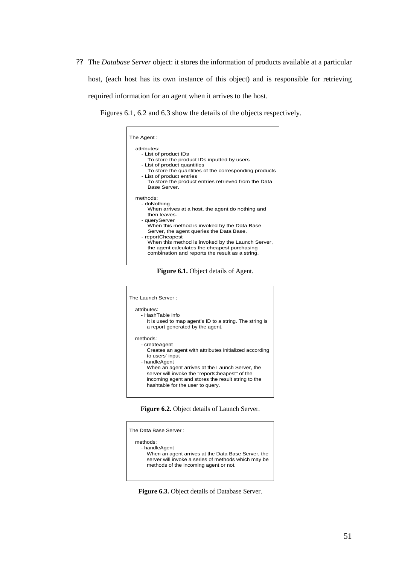?? The *Database Server* object: it stores the information of products available at a particular host, (each host has its own instance of this object) and is responsible for retrieving required information for an agent when it arrives to the host.

Figures 6.1, 6.2 and 6.3 show the details of the objects respectively.

| The Agent :                                                                                                                                                                                                                                                                                                                                                                         |
|-------------------------------------------------------------------------------------------------------------------------------------------------------------------------------------------------------------------------------------------------------------------------------------------------------------------------------------------------------------------------------------|
| attributes:<br>- List of product IDs<br>To store the product IDs inputted by users<br>- List of product quantities<br>To store the quantities of the corresponding products<br>- List of product entries<br>To store the product entries retrieved from the Data<br>Base Server.                                                                                                    |
| methods:<br>- doNothing<br>When arrives at a host, the agent do nothing and<br>then leaves<br>- queryServer<br>When this method is invoked by the Data Base<br>Server, the agent queries the Data Base.<br>- reportCheapest<br>When this method is invoked by the Launch Server,<br>the agent calculates the cheapest purchasing<br>combination and reports the result as a string. |

**Figure 6.1.** Object details of Agent.



**Figure 6.2.** Object details of Launch Server.

| The Data Base Server :                                                                                                                                                          |  |
|---------------------------------------------------------------------------------------------------------------------------------------------------------------------------------|--|
| methods:<br>- handleAgent<br>When an agent arrives at the Data Base Server, the<br>server will invoke a series of methods which may be<br>methods of the incoming agent or not. |  |

**Figure 6.3.** Object details of Database Server.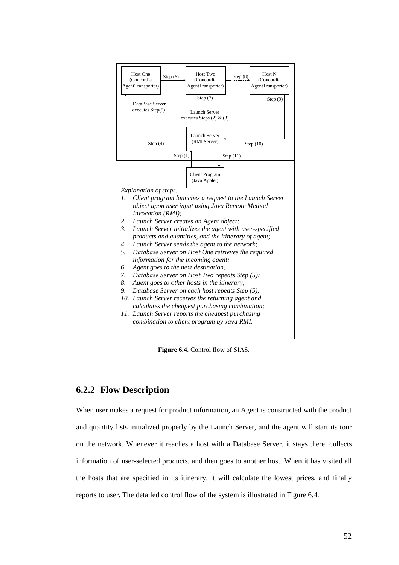

**Figure 6.4**. Control flow of SIAS.

### **6.2.2 Flow Description**

When user makes a request for product information, an Agent is constructed with the product and quantity lists initialized properly by the Launch Server, and the agent will start its tour on the network. Whenever it reaches a host with a Database Server, it stays there, collects information of user-selected products, and then goes to another host. When it has visited all the hosts that are specified in its itinerary, it will calculate the lowest prices, and finally reports to user. The detailed control flow of the system is illustrated in Figure 6.4.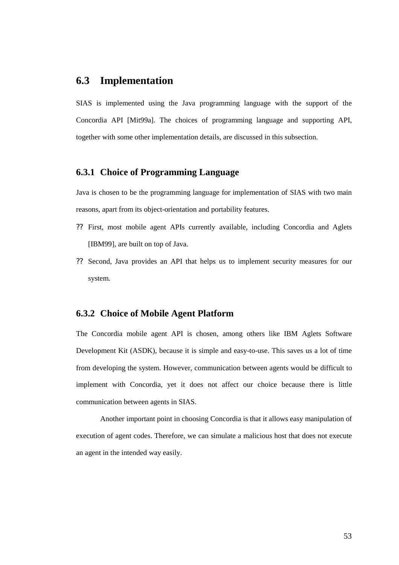### **6.3 Implementation**

SIAS is implemented using the Java programming language with the support of the Concordia API [Mit99a]. The choices of programming language and supporting API, together with some other implementation details, are discussed in this subsection.

#### **6.3.1 Choice of Programming Language**

Java is chosen to be the programming language for implementation of SIAS with two main reasons, apart from its object-orientation and portability features.

- ?? First, most mobile agent APIs currently available, including Concordia and Aglets [IBM99], are built on top of Java.
- ?? Second, Java provides an API that helps us to implement security measures for our system.

### **6.3.2 Choice of Mobile Agent Platform**

The Concordia mobile agent API is chosen, among others like IBM Aglets Software Development Kit (ASDK), because it is simple and easy-to-use. This saves us a lot of time from developing the system. However, communication between agents would be difficult to implement with Concordia, yet it does not affect our choice because there is little communication between agents in SIAS.

Another important point in choosing Concordia is that it allows easy manipulation of execution of agent codes. Therefore, we can simulate a malicious host that does not execute an agent in the intended way easily.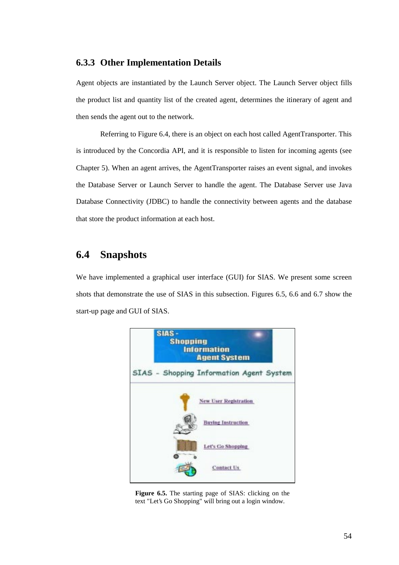### **6.3.3 Other Implementation Details**

Agent objects are instantiated by the Launch Server object. The Launch Server object fills the product list and quantity list of the created agent, determines the itinerary of agent and then sends the agent out to the network.

Referring to Figure 6.4, there is an object on each host called AgentTransporter. This is introduced by the Concordia API, and it is responsible to listen for incoming agents (see Chapter 5). When an agent arrives, the AgentTransporter raises an event signal, and invokes the Database Server or Launch Server to handle the agent. The Database Server use Java Database Connectivity (JDBC) to handle the connectivity between agents and the database that store the product information at each host.

## **6.4 Snapshots**

We have implemented a graphical user interface (GUI) for SIAS. We present some screen shots that demonstrate the use of SIAS in this subsection. Figures 6.5, 6.6 and 6.7 show the start-up page and GUI of SIAS.



**Figure 6.5.** The starting page of SIAS: clicking on the text "Let's Go Shopping" will bring out a login window.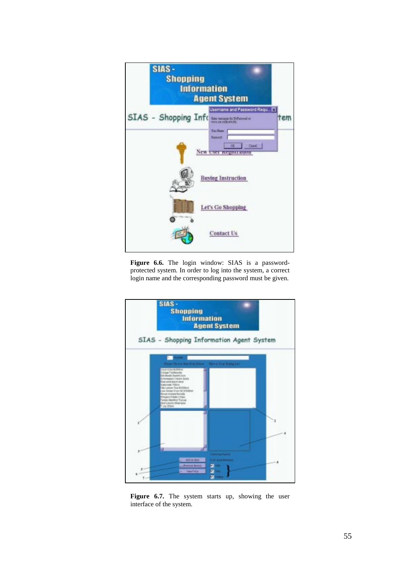

**Figure 6.6.** The login window: SIAS is a passwordprotected system. In order to log into the system, a correct login name and the corresponding password must be given.



**Figure 6.7.** The system starts up, showing the user interface of the system.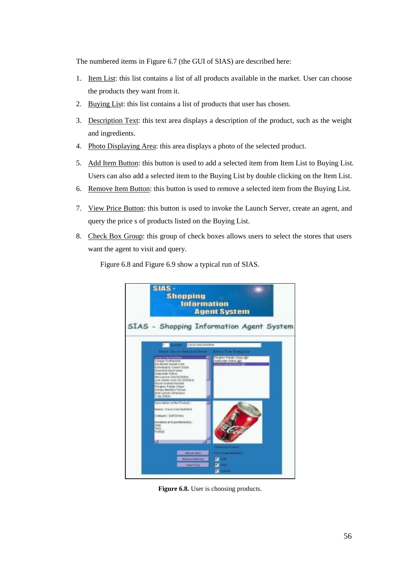The numbered items in Figure 6.7 (the GUI of SIAS) are described here:

- 1. Item List: this list contains a list of all products available in the market. User can choose the products they want from it.
- 2. Buying List: this list contains a list of products that user has chosen.
- 3. Description Text: this text area displays a description of the product, such as the weight and ingredients.
- 4. Photo Displaying Area: this area displays a photo of the selected product.
- 5. Add Item Button: this button is used to add a selected item from Item List to Buying List. Users can also add a selected item to the Buying List by double clicking on the Item List.
- 6. Remove Item Button: this button is used to remove a selected item from the Buying List.
- 7. View Price Button: this button is used to invoke the Launch Server, create an agent, and query the price s of products listed on the Buying List.
- 8. Check Box Group: this group of check boxes allows users to select the stores that users want the agent to visit and query.



Figure 6.8 and Figure 6.9 show a typical run of SIAS.

**Figure 6.8.** User is choosing products.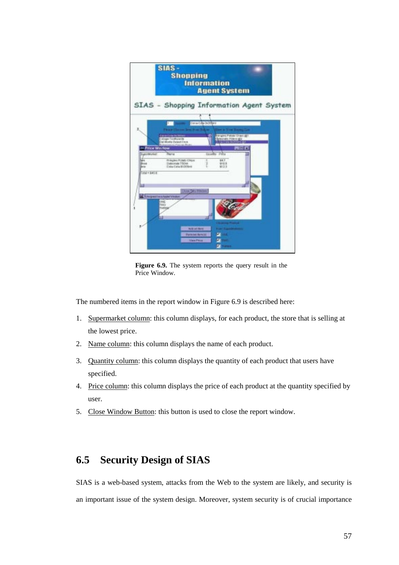|                                              | <b>SIAS-</b><br><b>Shopping</b>                                                                | <b>Information</b><br><b>Agent System</b>   |                     |  |
|----------------------------------------------|------------------------------------------------------------------------------------------------|---------------------------------------------|---------------------|--|
|                                              | SIAS - Shopping Information Agent System                                                       |                                             |                     |  |
| ×,                                           | <b><i>DECIMENT</i></b>                                                                         | Cera-Gda (Kiribra                           | <b>ALCOHOL: UE</b>  |  |
| <b>N Frice Wit tow</b><br><b>EventWarket</b> | calege finally outlet<br>Dal Monte Buset Dros<br><b>Richardson Co. Plannings Br.</b><br>Rental | <b>Price</b><br>ting patien.<br>38.7        | <b>PS Birlst VA</b> |  |
| heud<br><b>bords</b><br>Total = 840.6        | Principles Pobla Chun<br>Saturate T50nm<br><b>Cala Cala ECMAnd</b>                             | \$10.5<br>\$13.3                            |                     |  |
| u                                            | Citous Data Howman<br><b>If It is great brochaster Western</b>                                 |                                             |                     |  |
|                                              | 海區<br>Lanks                                                                                    |                                             |                     |  |
|                                              | <b>AUS an Band</b><br><b>Dara to Banchi</b>                                                    | <b>ALLEY TO BEEN</b><br><b>Construction</b> |                     |  |
|                                              | <b>Mars Price</b>                                                                              | z<br>14123                                  |                     |  |

**Figure 6.9.** The system reports the query result in the Price Window.

The numbered items in the report window in Figure 6.9 is described here:

- 1. Supermarket column: this column displays, for each product, the store that is selling at the lowest price.
- 2. Name column: this column displays the name of each product.
- 3. Quantity column: this column displays the quantity of each product that users have specified.
- 4. Price column: this column displays the price of each product at the quantity specified by user.
- 5. Close Window Button: this button is used to close the report window.

## **6.5 Security Design of SIAS**

SIAS is a web-based system, attacks from the Web to the system are likely, and security is an important issue of the system design. Moreover, system security is of crucial importance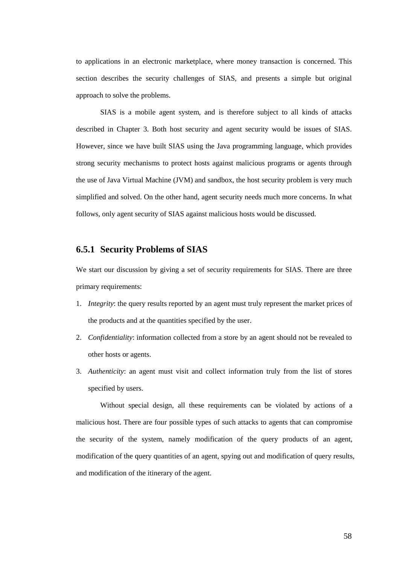to applications in an electronic marketplace, where money transaction is concerned. This section describes the security challenges of SIAS, and presents a simple but original approach to solve the problems.

SIAS is a mobile agent system, and is therefore subject to all kinds of attacks described in Chapter 3. Both host security and agent security would be issues of SIAS. However, since we have built SIAS using the Java programming language, which provides strong security mechanisms to protect hosts against malicious programs or agents through the use of Java Virtual Machine (JVM) and sandbox, the host security problem is very much simplified and solved. On the other hand, agent security needs much more concerns. In what follows, only agent security of SIAS against malicious hosts would be discussed.

### **6.5.1 Security Problems of SIAS**

We start our discussion by giving a set of security requirements for SIAS. There are three primary requirements:

- 1. *Integrity*: the query results reported by an agent must truly represent the market prices of the products and at the quantities specified by the user.
- 2. *Confidentiality*: information collected from a store by an agent should not be revealed to other hosts or agents.
- 3. *Authenticity*: an agent must visit and collect information truly from the list of stores specified by users.

Without special design, all these requirements can be violated by actions of a malicious host. There are four possible types of such attacks to agents that can compromise the security of the system, namely modification of the query products of an agent, modification of the query quantities of an agent, spying out and modification of query results, and modification of the itinerary of the agent.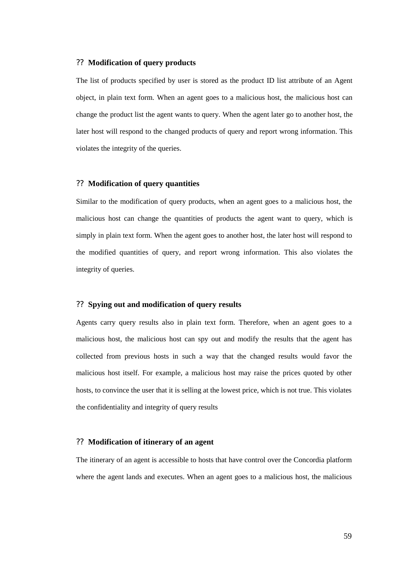#### ?? **Modification of query products**

The list of products specified by user is stored as the product ID list attribute of an Agent object, in plain text form. When an agent goes to a malicious host, the malicious host can change the product list the agent wants to query. When the agent later go to another host, the later host will respond to the changed products of query and report wrong information. This violates the integrity of the queries.

#### ?? **Modification of query quantities**

Similar to the modification of query products, when an agent goes to a malicious host, the malicious host can change the quantities of products the agent want to query, which is simply in plain text form. When the agent goes to another host, the later host will respond to the modified quantities of query, and report wrong information. This also violates the integrity of queries.

#### ?? **Spying out and modification of query results**

Agents carry query results also in plain text form. Therefore, when an agent goes to a malicious host, the malicious host can spy out and modify the results that the agent has collected from previous hosts in such a way that the changed results would favor the malicious host itself. For example, a malicious host may raise the prices quoted by other hosts, to convince the user that it is selling at the lowest price, which is not true. This violates the confidentiality and integrity of query results

#### ?? **Modification of itinerary of an agent**

The itinerary of an agent is accessible to hosts that have control over the Concordia platform where the agent lands and executes. When an agent goes to a malicious host, the malicious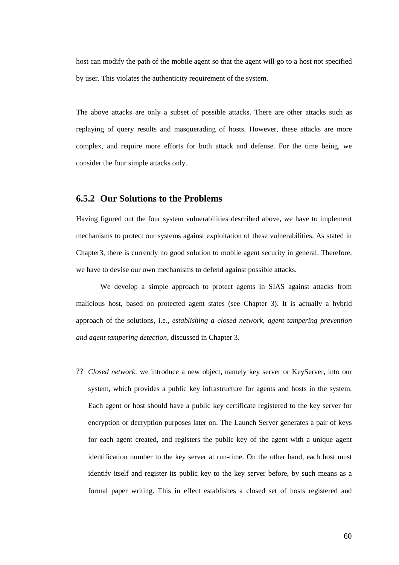host can modify the path of the mobile agent so that the agent will go to a host not specified by user. This violates the authenticity requirement of the system.

The above attacks are only a subset of possible attacks. There are other attacks such as replaying of query results and masquerading of hosts. However, these attacks are more complex, and require more efforts for both attack and defense. For the time being, we consider the four simple attacks only.

#### **6.5.2 Our Solutions to the Problems**

Having figured out the four system vulnerabilities described above, we have to implement mechanisms to protect our systems against exploitation of these vulnerabilities. As stated in Chapter3, there is currently no good solution to mobile agent security in general. Therefore, we have to devise our own mechanisms to defend against possible attacks.

We develop a simple approach to protect agents in SIAS against attacks from malicious host, based on protected agent states (see Chapter 3). It is actually a hybrid approach of the solutions, i.e., *establishing a closed network, agent tampering prevention and agent tampering detection*, discussed in Chapter 3.

?? *Closed network*: we introduce a new object, namely key server or KeyServer, into our system, which provides a public key infrastructure for agents and hosts in the system. Each agent or host should have a public key certificate registered to the key server for encryption or decryption purposes later on. The Launch Server generates a pair of keys for each agent created, and registers the public key of the agent with a unique agent identification number to the key server at run-time. On the other hand, each host must identify itself and register its public key to the key server before, by such means as a formal paper writing. This in effect establishes a closed set of hosts registered and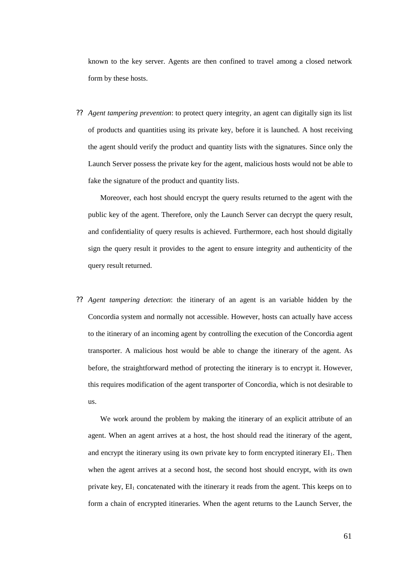known to the key server. Agents are then confined to travel among a closed network form by these hosts.

?? *Agent tampering prevention*: to protect query integrity, an agent can digitally sign its list of products and quantities using its private key, before it is launched. A host receiving the agent should verify the product and quantity lists with the signatures. Since only the Launch Server possess the private key for the agent, malicious hosts would not be able to fake the signature of the product and quantity lists.

Moreover, each host should encrypt the query results returned to the agent with the public key of the agent. Therefore, only the Launch Server can decrypt the query result, and confidentiality of query results is achieved. Furthermore, each host should digitally sign the query result it provides to the agent to ensure integrity and authenticity of the query result returned.

?? *Agent tampering detection*: the itinerary of an agent is an variable hidden by the Concordia system and normally not accessible. However, hosts can actually have access to the itinerary of an incoming agent by controlling the execution of the Concordia agent transporter. A malicious host would be able to change the itinerary of the agent. As before, the straightforward method of protecting the itinerary is to encrypt it. However, this requires modification of the agent transporter of Concordia, which is not desirable to us.

We work around the problem by making the itinerary of an explicit attribute of an agent. When an agent arrives at a host, the host should read the itinerary of the agent, and encrypt the itinerary using its own private key to form encrypted itinerary  $EI_1$ . Then when the agent arrives at a second host, the second host should encrypt, with its own private key,  $EI_1$  concatenated with the itinerary it reads from the agent. This keeps on to form a chain of encrypted itineraries. When the agent returns to the Launch Server, the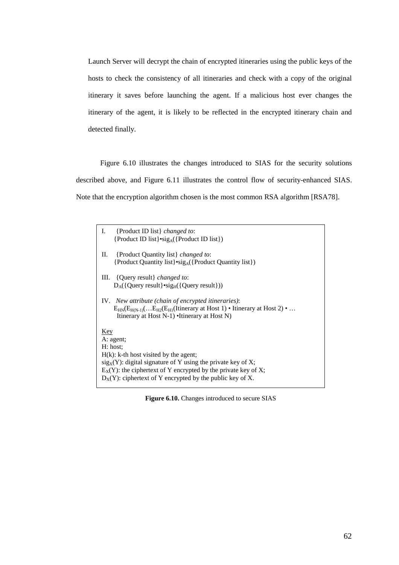Launch Server will decrypt the chain of encrypted itineraries using the public keys of the hosts to check the consistency of all itineraries and check with a copy of the original itinerary it saves before launching the agent. If a malicious host ever changes the itinerary of the agent, it is likely to be reflected in the encrypted itinerary chain and detected finally.

 Figure 6.10 illustrates the changes introduced to SIAS for the security solutions described above, and Figure 6.11 illustrates the control flow of security-enhanced SIAS. Note that the encryption algorithm chosen is the most common RSA algorithm [RSA78].

| {Product ID list} <i>changed to:</i><br>Ι.                                                                                                     |  |  |  |
|------------------------------------------------------------------------------------------------------------------------------------------------|--|--|--|
| {Product ID list} $\cdot$ sig <sub>A</sub> ({Product ID list})}                                                                                |  |  |  |
| П.<br>{Product Quantity list} <i>changed to:</i>                                                                                               |  |  |  |
| {Product Quantity list} $\text{sig}_A(\{\text{Product Quantity list}\})$                                                                       |  |  |  |
| III. {Query result} <i>changed to:</i>                                                                                                         |  |  |  |
| $D_A({\text{Query result}}) \cdot \text{sig}_{H}({\text{Query result}}))$                                                                      |  |  |  |
|                                                                                                                                                |  |  |  |
| IV. New attribute (chain of encrypted itineraries):                                                                                            |  |  |  |
| $E_{HN}(E_{HN-1})(E_{H2}(E_{H1}(Itinerary at Host 1)) \cdot Itinerary at Host 2) \cdot $<br>Itinerary at Host $N-1$ ) •Itinerary at Host $N$ ) |  |  |  |
|                                                                                                                                                |  |  |  |
| Key                                                                                                                                            |  |  |  |
| A: agent;                                                                                                                                      |  |  |  |
| H: host:                                                                                                                                       |  |  |  |
| $H(k)$ : k-th host visited by the agent;                                                                                                       |  |  |  |
| $sigX(Y)$ : digital signature of Y using the private key of X;                                                                                 |  |  |  |
| $E_X(Y)$ : the ciphertext of Y encrypted by the private key of X;<br>$D_X(Y)$ : ciphertext of Y encrypted by the public key of X.              |  |  |  |
|                                                                                                                                                |  |  |  |

Figure 6.10. Changes introduced to secure SIAS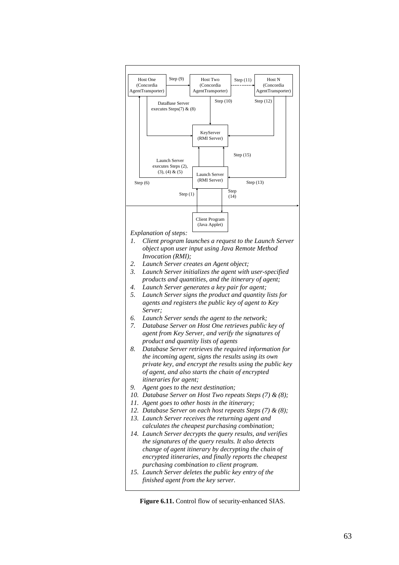

Figure 6.11. Control flow of security-enhanced SIAS.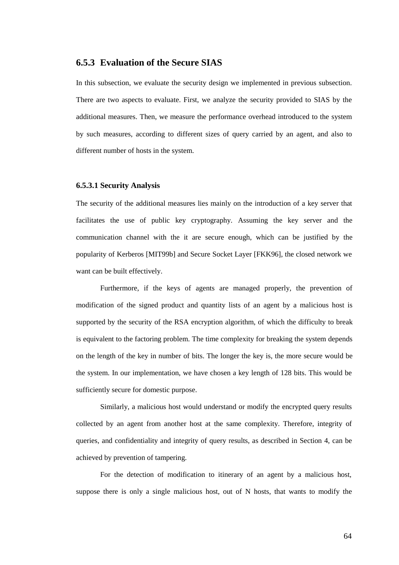## **6.5.3 Evaluation of the Secure SIAS**

In this subsection, we evaluate the security design we implemented in previous subsection. There are two aspects to evaluate. First, we analyze the security provided to SIAS by the additional measures. Then, we measure the performance overhead introduced to the system by such measures, according to different sizes of query carried by an agent, and also to different number of hosts in the system.

#### **6.5.3.1 Security Analysis**

The security of the additional measures lies mainly on the introduction of a key server that facilitates the use of public key cryptography. Assuming the key server and the communication channel with the it are secure enough, which can be justified by the popularity of Kerberos [MIT99b] and Secure Socket Layer [FKK96], the closed network we want can be built effectively.

Furthermore, if the keys of agents are managed properly, the prevention of modification of the signed product and quantity lists of an agent by a malicious host is supported by the security of the RSA encryption algorithm, of which the difficulty to break is equivalent to the factoring problem. The time complexity for breaking the system depends on the length of the key in number of bits. The longer the key is, the more secure would be the system. In our implementation, we have chosen a key length of 128 bits. This would be sufficiently secure for domestic purpose.

Similarly, a malicious host would understand or modify the encrypted query results collected by an agent from another host at the same complexity. Therefore, integrity of queries, and confidentiality and integrity of query results, as described in Section 4, can be achieved by prevention of tampering.

For the detection of modification to itinerary of an agent by a malicious host, suppose there is only a single malicious host, out of N hosts, that wants to modify the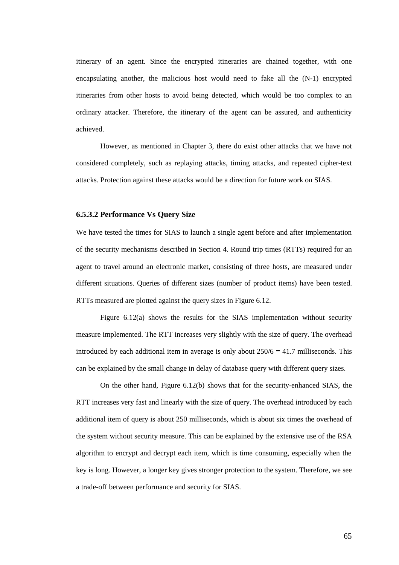itinerary of an agent. Since the encrypted itineraries are chained together, with one encapsulating another, the malicious host would need to fake all the (N-1) encrypted itineraries from other hosts to avoid being detected, which would be too complex to an ordinary attacker. Therefore, the itinerary of the agent can be assured, and authenticity achieved.

However, as mentioned in Chapter 3, there do exist other attacks that we have not considered completely, such as replaying attacks, timing attacks, and repeated cipher-text attacks. Protection against these attacks would be a direction for future work on SIAS.

#### **6.5.3.2 Performance Vs Query Size**

We have tested the times for SIAS to launch a single agent before and after implementation of the security mechanisms described in Section 4. Round trip times (RTTs) required for an agent to travel around an electronic market, consisting of three hosts, are measured under different situations. Queries of different sizes (number of product items) have been tested. RTTs measured are plotted against the query sizes in Figure 6.12.

Figure 6.12(a) shows the results for the SIAS implementation without security measure implemented. The RTT increases very slightly with the size of query. The overhead introduced by each additional item in average is only about  $250/6 = 41.7$  milliseconds. This can be explained by the small change in delay of database query with different query sizes.

On the other hand, Figure 6.12(b) shows that for the security-enhanced SIAS, the RTT increases very fast and linearly with the size of query. The overhead introduced by each additional item of query is about 250 milliseconds, which is about six times the overhead of the system without security measure. This can be explained by the extensive use of the RSA algorithm to encrypt and decrypt each item, which is time consuming, especially when the key is long. However, a longer key gives stronger protection to the system. Therefore, we see a trade-off between performance and security for SIAS.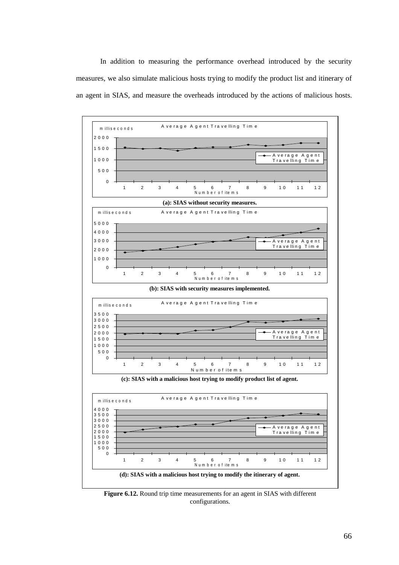In addition to measuring the performance overhead introduced by the security measures, we also simulate malicious hosts trying to modify the product list and itinerary of an agent in SIAS, and measure the overheads introduced by the actions of malicious hosts.



**Figure 6.12.** Round trip time measurements for an agent in SIAS with different configurations.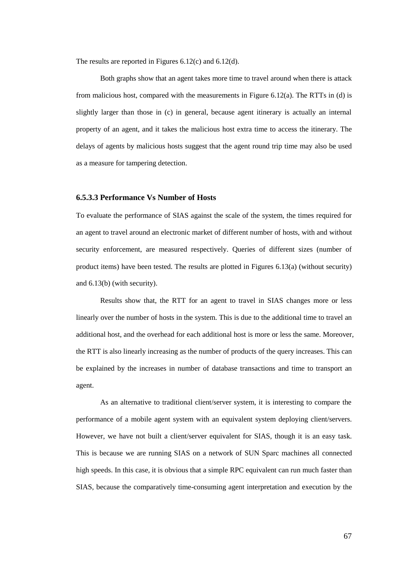The results are reported in Figures 6.12(c) and 6.12(d).

 Both graphs show that an agent takes more time to travel around when there is attack from malicious host, compared with the measurements in Figure 6.12(a). The RTTs in (d) is slightly larger than those in (c) in general, because agent itinerary is actually an internal property of an agent, and it takes the malicious host extra time to access the itinerary. The delays of agents by malicious hosts suggest that the agent round trip time may also be used as a measure for tampering detection.

#### **6.5.3.3 Performance Vs Number of Hosts**

To evaluate the performance of SIAS against the scale of the system, the times required for an agent to travel around an electronic market of different number of hosts, with and without security enforcement, are measured respectively. Queries of different sizes (number of product items) have been tested. The results are plotted in Figures 6.13(a) (without security) and 6.13(b) (with security).

 Results show that, the RTT for an agent to travel in SIAS changes more or less linearly over the number of hosts in the system. This is due to the additional time to travel an additional host, and the overhead for each additional host is more or less the same. Moreover, the RTT is also linearly increasing as the number of products of the query increases. This can be explained by the increases in number of database transactions and time to transport an agent.

As an alternative to traditional client/server system, it is interesting to compare the performance of a mobile agent system with an equivalent system deploying client/servers. However, we have not built a client/server equivalent for SIAS, though it is an easy task. This is because we are running SIAS on a network of SUN Sparc machines all connected high speeds. In this case, it is obvious that a simple RPC equivalent can run much faster than SIAS, because the comparatively time-consuming agent interpretation and execution by the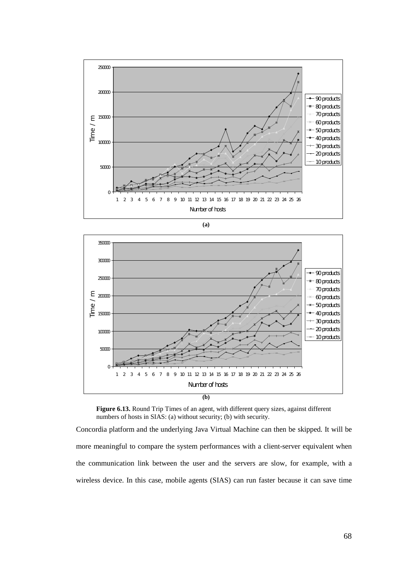







Concordia platform and the underlying Java Virtual Machine can then be skipped. It will be more meaningful to compare the system performances with a client-server equivalent when the communication link between the user and the servers are slow, for example, with a wireless device. In this case, mobile agents (SIAS) can run faster because it can save time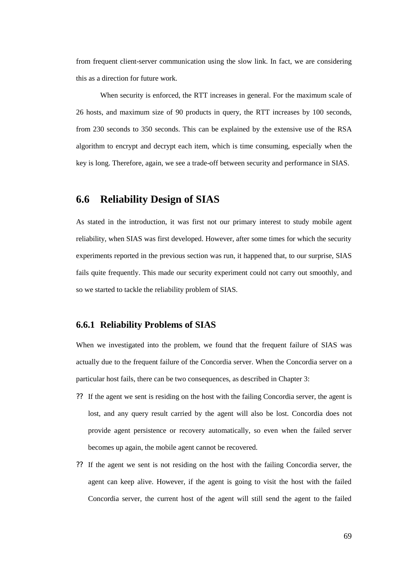from frequent client-server communication using the slow link. In fact, we are considering this as a direction for future work.

When security is enforced, the RTT increases in general. For the maximum scale of 26 hosts, and maximum size of 90 products in query, the RTT increases by 100 seconds, from 230 seconds to 350 seconds. This can be explained by the extensive use of the RSA algorithm to encrypt and decrypt each item, which is time consuming, especially when the key is long. Therefore, again, we see a trade-off between security and performance in SIAS.

## **6.6 Reliability Design of SIAS**

As stated in the introduction, it was first not our primary interest to study mobile agent reliability, when SIAS was first developed. However, after some times for which the security experiments reported in the previous section was run, it happened that, to our surprise, SIAS fails quite frequently. This made our security experiment could not carry out smoothly, and so we started to tackle the reliability problem of SIAS.

### **6.6.1 Reliability Problems of SIAS**

When we investigated into the problem, we found that the frequent failure of SIAS was actually due to the frequent failure of the Concordia server. When the Concordia server on a particular host fails, there can be two consequences, as described in Chapter 3:

- ?? If the agent we sent is residing on the host with the failing Concordia server, the agent is lost, and any query result carried by the agent will also be lost. Concordia does not provide agent persistence or recovery automatically, so even when the failed server becomes up again, the mobile agent cannot be recovered.
- ?? If the agent we sent is not residing on the host with the failing Concordia server, the agent can keep alive. However, if the agent is going to visit the host with the failed Concordia server, the current host of the agent will still send the agent to the failed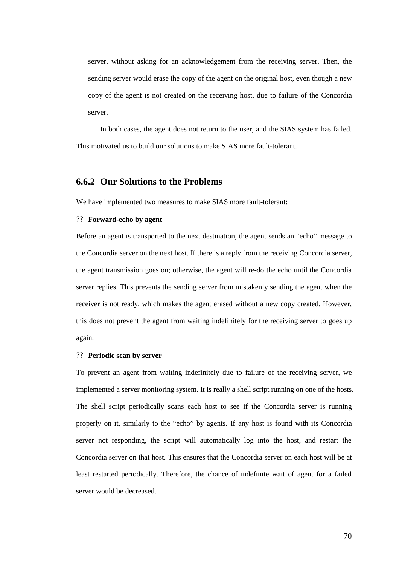server, without asking for an acknowledgement from the receiving server. Then, the sending server would erase the copy of the agent on the original host, even though a new copy of the agent is not created on the receiving host, due to failure of the Concordia server.

In both cases, the agent does not return to the user, and the SIAS system has failed. This motivated us to build our solutions to make SIAS more fault-tolerant.

## **6.6.2 Our Solutions to the Problems**

We have implemented two measures to make SIAS more fault-tolerant:

#### ?? **Forward-echo by agent**

Before an agent is transported to the next destination, the agent sends an "echo" message to the Concordia server on the next host. If there is a reply from the receiving Concordia server, the agent transmission goes on; otherwise, the agent will re-do the echo until the Concordia server replies. This prevents the sending server from mistakenly sending the agent when the receiver is not ready, which makes the agent erased without a new copy created. However, this does not prevent the agent from waiting indefinitely for the receiving server to goes up again.

#### ?? **Periodic scan by server**

To prevent an agent from waiting indefinitely due to failure of the receiving server, we implemented a server monitoring system. It is really a shell script running on one of the hosts. The shell script periodically scans each host to see if the Concordia server is running properly on it, similarly to the "echo" by agents. If any host is found with its Concordia server not responding, the script will automatically log into the host, and restart the Concordia server on that host. This ensures that the Concordia server on each host will be at least restarted periodically. Therefore, the chance of indefinite wait of agent for a failed server would be decreased.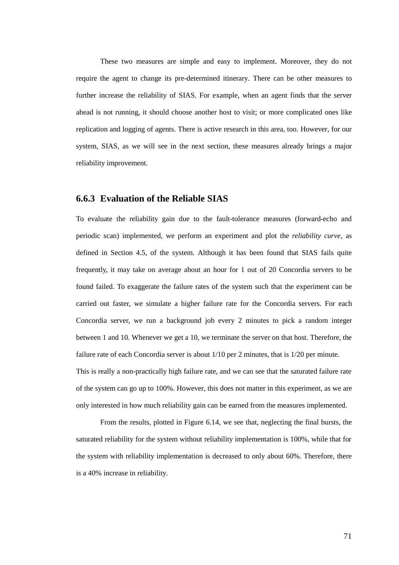These two measures are simple and easy to implement. Moreover, they do not require the agent to change its pre-determined itinerary. There can be other measures to further increase the reliability of SIAS. For example, when an agent finds that the server ahead is not running, it should choose another host to visit; or more complicated ones like replication and logging of agents. There is active research in this area, too. However, for our system, SIAS, as we will see in the next section, these measures already brings a major reliability improvement.

### **6.6.3 Evaluation of the Reliable SIAS**

To evaluate the reliability gain due to the fault-tolerance measures (forward-echo and periodic scan) implemented, we perform an experiment and plot the *reliability curve*, as defined in Section 4.5, of the system. Although it has been found that SIAS fails quite frequently, it may take on average about an hour for 1 out of 20 Concordia servers to be found failed. To exaggerate the failure rates of the system such that the experiment can be carried out faster, we simulate a higher failure rate for the Concordia servers. For each Concordia server, we run a background job every 2 minutes to pick a random integer between 1 and 10. Whenever we get a 10, we terminate the server on that host. Therefore, the failure rate of each Concordia server is about 1/10 per 2 minutes, that is 1/20 per minute. This is really a non-practically high failure rate, and we can see that the saturated failure rate of the system can go up to 100%. However, this does not matter in this experiment, as we are only interested in how much reliability gain can be earned from the measures implemented.

 From the results, plotted in Figure 6.14, we see that, neglecting the final bursts, the saturated reliability for the system without reliability implementation is 100%, while that for the system with reliability implementation is decreased to only about 60%. Therefore, there is a 40% increase in reliability.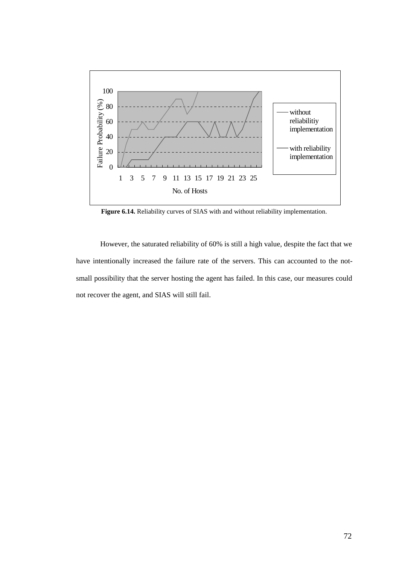

**Figure 6.14.** Reliability curves of SIAS with and without reliability implementation.

 However, the saturated reliability of 60% is still a high value, despite the fact that we have intentionally increased the failure rate of the servers. This can accounted to the notsmall possibility that the server hosting the agent has failed. In this case, our measures could not recover the agent, and SIAS will still fail.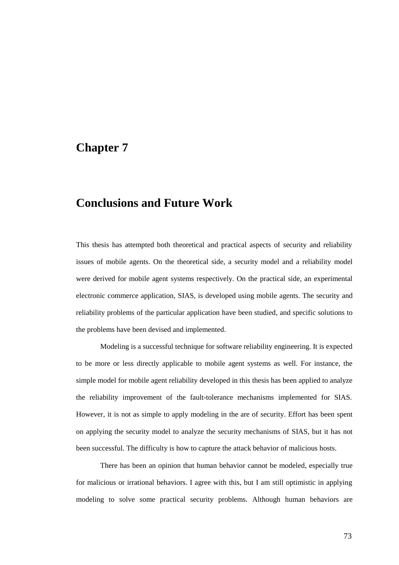## **Chapter 7**

# **Conclusions and Future Work**

This thesis has attempted both theoretical and practical aspects of security and reliability issues of mobile agents. On the theoretical side, a security model and a reliability model were derived for mobile agent systems respectively. On the practical side, an experimental electronic commerce application, SIAS, is developed using mobile agents. The security and reliability problems of the particular application have been studied, and specific solutions to the problems have been devised and implemented.

 Modeling is a successful technique for software reliability engineering. It is expected to be more or less directly applicable to mobile agent systems as well. For instance, the simple model for mobile agent reliability developed in this thesis has been applied to analyze the reliability improvement of the fault-tolerance mechanisms implemented for SIAS. However, it is not as simple to apply modeling in the are of security. Effort has been spent on applying the security model to analyze the security mechanisms of SIAS, but it has not been successful. The difficulty is how to capture the attack behavior of malicious hosts.

 There has been an opinion that human behavior cannot be modeled, especially true for malicious or irrational behaviors. I agree with this, but I am still optimistic in applying modeling to solve some practical security problems. Although human behaviors are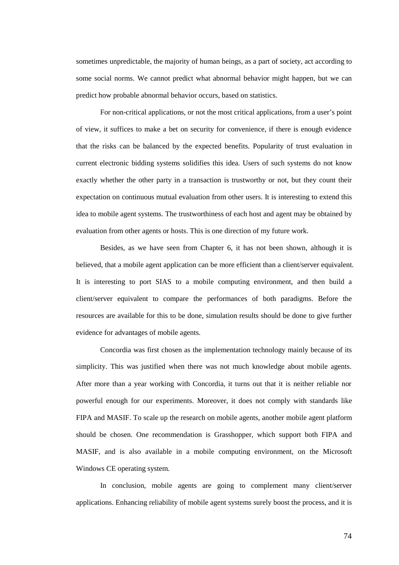sometimes unpredictable, the majority of human beings, as a part of society, act according to some social norms. We cannot predict what abnormal behavior might happen, but we can predict how probable abnormal behavior occurs, based on statistics.

 For non-critical applications, or not the most critical applications, from a user's point of view, it suffices to make a bet on security for convenience, if there is enough evidence that the risks can be balanced by the expected benefits. Popularity of trust evaluation in current electronic bidding systems solidifies this idea. Users of such systems do not know exactly whether the other party in a transaction is trustworthy or not, but they count their expectation on continuous mutual evaluation from other users. It is interesting to extend this idea to mobile agent systems. The trustworthiness of each host and agent may be obtained by evaluation from other agents or hosts. This is one direction of my future work.

 Besides, as we have seen from Chapter 6, it has not been shown, although it is believed, that a mobile agent application can be more efficient than a client/server equivalent. It is interesting to port SIAS to a mobile computing environment, and then build a client/server equivalent to compare the performances of both paradigms. Before the resources are available for this to be done, simulation results should be done to give further evidence for advantages of mobile agents.

 Concordia was first chosen as the implementation technology mainly because of its simplicity. This was justified when there was not much knowledge about mobile agents. After more than a year working with Concordia, it turns out that it is neither reliable nor powerful enough for our experiments. Moreover, it does not comply with standards like FIPA and MASIF. To scale up the research on mobile agents, another mobile agent platform should be chosen. One recommendation is Grasshopper, which support both FIPA and MASIF, and is also available in a mobile computing environment, on the Microsoft Windows CE operating system.

 In conclusion, mobile agents are going to complement many client/server applications. Enhancing reliability of mobile agent systems surely boost the process, and it is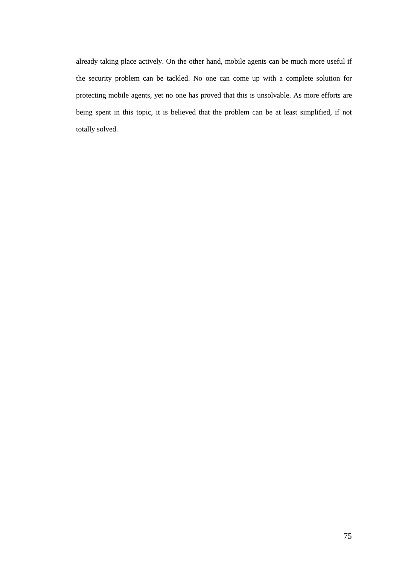already taking place actively. On the other hand, mobile agents can be much more useful if the security problem can be tackled. No one can come up with a complete solution for protecting mobile agents, yet no one has proved that this is unsolvable. As more efforts are being spent in this topic, it is believed that the problem can be at least simplified, if not totally solved.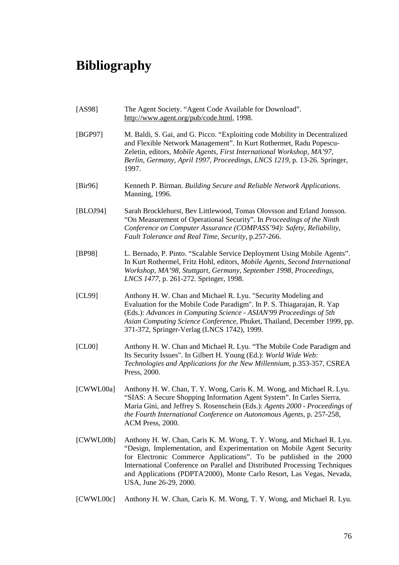# **Bibliography**

- [AS98] The Agent Society. "Agent Code Available for Download". http://www.agent.org/pub/code.html, 1998.
- [BGP97] M. Baldi, S. Gai, and G. Picco. "Exploiting code Mobility in Decentralized and Flexible Network Management". In Kurt Rothermet, Radu Popescu-Zeletin, editors, *Mobile Agents, First International Workshop, MA'97, Berlin, Germany, April 1997, Proceedings, LNCS 1219*, p. 13-26. Springer, 1997.
- [Bir96] Kenneth P. Birman. *Building Secure and Reliable Network Applications*. Manning, 1996.
- [BLOJ94] Sarah Brocklehurst, Bev Littlewood, Tomas Olovsson and Erland Jonsson. "On Measurement of Operational Security". In *Proceedings of the Ninth Conference on Computer Assurance (COMPASS'94): Safety, Reliability, Fault Tolerance and Real Time, Security*, p.257-266.
- [BP98] L. Bernado, P. Pinto. "Scalable Service Deployment Using Mobile Agents". In Kurt Rothermel, Fritz Hohl, editors, *Mobile Agents, Second International Workshop, MA'98, Stuttgart, Germany, September 1998, Proceedings, LNCS 1477*, p. 261-272. Springer, 1998.
- [CL99] Anthony H. W. Chan and Michael R. Lyu. "Security Modeling and Evaluation for the Mobile Code Paradigm". In P. S. Thiagarajan, R. Yap (Eds.): *Advances in Computing Science - ASIAN'99 Proceedings of 5th Asian Computing Science Conference*, Phuket, Thailand, December 1999, pp. 371-372, Springer-Verlag (LNCS 1742), 1999.
- [CL00] Anthony H. W. Chan and Michael R. Lyu. "The Mobile Code Paradigm and Its Security Issues". In Gilbert H. Young (Ed.): *World Wide Web: Technologies and Applications for the New Millennium*, p.353-357, CSREA Press, 2000.
- [CWWL00a] Anthony H. W. Chan, T. Y. Wong, Caris K. M. Wong, and Michael R. Lyu. "SIAS: A Secure Shopping Information Agent System". In Carles Sierra, Maria Gini, and Jeffrey S. Rosenschein (Eds.): *Agents 2000 - Proceedings of the Fourth International Conference on Autonomous Agents*, p. 257-258, ACM Press, 2000.
- [CWWL00b] Anthony H. W. Chan, Caris K. M. Wong, T. Y. Wong, and Michael R. Lyu. "Design, Implementation, and Experimentation on Mobile Agent Security for Electronic Commerce Applications". To be published in the 2000 International Conference on Parallel and Distributed Processing Techniques and Applications (PDPTA'2000), Monte Carlo Resort, Las Vegas, Nevada, USA, June 26-29, 2000.
- [CWWL00c] Anthony H. W. Chan, Caris K. M. Wong, T. Y. Wong, and Michael R. Lyu.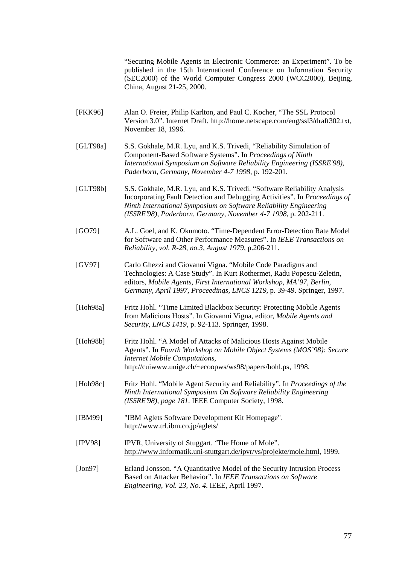"Securing Mobile Agents in Electronic Commerce: an Experiment". To be published in the 15th Internatioanl Conference on Information Security (SEC2000) of the World Computer Congress 2000 (WCC2000), Beijing, China, August 21-25, 2000.

- [FKK96] Alan O. Freier, Philip Karlton, and Paul C. Kocher, "The SSL Protocol Version 3.0". Internet Draft. http://home.netscape.com/eng/ssl3/draft302.txt, November 18, 1996.
- [GLT98a] S.S. Gokhale, M.R. Lyu, and K.S. Trivedi, "Reliability Simulation of Component-Based Software Systems". In *Proceedings of Ninth International Symposium on Software Reliability Engineering (ISSRE'98), Paderborn, Germany, November 4-7 1998*, p. 192-201.
- [GLT98b] S.S. Gokhale, M.R. Lyu, and K.S. Trivedi. "Software Reliability Analysis Incorporating Fault Detection and Debugging Activities". In *Proceedings of Ninth International Symposium on Software Reliability Engineering (ISSRE'98), Paderborn, Germany, November 4-7 1998*, p. 202-211.
- [GO79] A.L. Goel, and K. Okumoto. "Time-Dependent Error-Detection Rate Model for Software and Other Performance Measures". In *IEEE Transactions on Reliability, vol. R-28, no.3, August 1979*, p.206-211.
- [GV97] Carlo Ghezzi and Giovanni Vigna. "Mobile Code Paradigms and Technologies: A Case Study". In Kurt Rothermet, Radu Popescu-Zeletin, editors, *Mobile Agents, First International Workshop, MA'97, Berlin, Germany, April 1997, Proceedings, LNCS 1219*, p. 39-49. Springer, 1997.
- [Hoh98a] Fritz Hohl. "Time Limited Blackbox Security: Protecting Mobile Agents from Malicious Hosts". In Giovanni Vigna, editor, *Mobile Agents and Security, LNCS 1419*, p. 92-113. Springer, 1998.
- [Hoh98b] Fritz Hohl. "A Model of Attacks of Malicious Hosts Against Mobile Agents". In *Fourth Workshop on Mobile Object Systems (MOS'98): Secure Internet Mobile Computations*, http://cuiwww.unige.ch/~ecoopws/ws98/papers/hohl.ps, 1998.
- [Hoh98c] Fritz Hohl. "Mobile Agent Security and Reliability". In *Proceedings of the Ninth International Symposium On Software Reliability Engineering (ISSRE'98), page 181*. IEEE Computer Society, 1998.
- [IBM99] "IBM Aglets Software Development Kit Homepage". http://www.trl.ibm.co.jp/aglets/
- [IPV98] IPVR, University of Stuggart. 'The Home of Mole". http://www.informatik.uni-stuttgart.de/ipvr/vs/projekte/mole.html, 1999.
- [Jon97] Erland Jonsson. "A Quantitative Model of the Security Intrusion Process Based on Attacker Behavior". In *IEEE Transactions on Software Engineering, Vol. 23, No. 4*. IEEE, April 1997.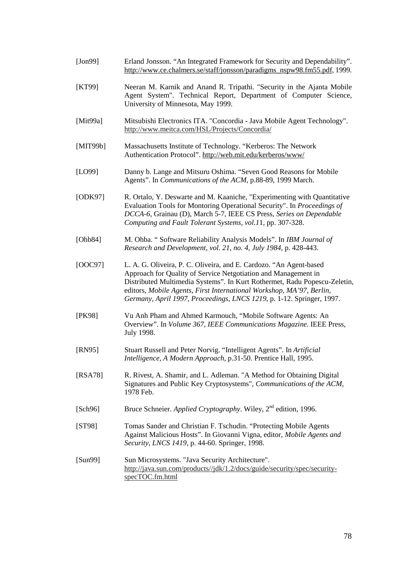- [Jon99] Erland Jonsson. "An Integrated Framework for Security and Dependability". http://www.ce.chalmers.se/staff/jonsson/paradigms\_nspw98.fm55.pdf, 1999.
- [KT99] Neeran M. Karnik and Anand R. Tripathi. "Security in the Ajanta Mobile Agent System". Technical Report, Department of Computer Science, University of Minnesota, May 1999.
- [Mit99a] Mitsubishi Electronics ITA. "Concordia Java Mobile Agent Technology". http://www.meitca.com/HSL/Projects/Concordia/
- [MIT99b] Massachusetts Institute of Technology. "Kerberos: The Network Authentication Protocol". http://web.mit.edu/kerberos/www/
- [LO99] Danny b. Lange and Mitsuru Oshima. "Seven Good Reasons for Mobile Agents". In *Communications of the ACM*, p.88-89, 1999 March.
- [ODK97] R. Ortalo, Y. Deswarte and M. Kaaniche, "Experimenting with Quantitative Evaluation Tools for Montoring Operational Security". In *Proceedings of DCCA-6*, Grainau (D), March 5-7, IEEE CS Press, *Series on Dependable Computing and Fault Tolerant Systems, vol.1*1, pp. 307-328.
- [Ohb84] M. Ohba. " Software Reliability Analysis Models". In *IBM Journal of Research and Development, vol. 21, no. 4, July 1984*, p. 428-443.
- [OOC97] L. A. G. Oliveira, P. C. Oliveira, and E. Cardozo. "An Agent-based Approach for Quality of Service Netgotiation and Management in Distributed Multimedia Systems". In Kurt Rothermet, Radu Popescu-Zeletin, editors, *Mobile Agents, First International Workshop, MA'97, Berlin, Germany, April 1997, Proceedings, LNCS 1219*, p. 1-12. Springer, 1997.
- [PK98] Vu Anh Pham and Ahmed Karmouch, "Mobile Software Agents: An Overview". In *Volume 367, IEEE Communications Magazine*. IEEE Press, July 1998.
- [RN95] Stuart Russell and Peter Norvig. "Intelligent Agents". In *Artificial Intelligence, A Modern Approach*, p.31-50. Prentice Hall, 1995.
- [RSA78] R. Rivest, A. Shamir, and L. Adleman. "A Method for Obtaining Digital Signatures and Public Key Cryptosystems", *Communications of the ACM*, 1978 Feb.
- [Sch96] Bruce Schneier. *Applied Cryptography*. Wiley, 2<sup>nd</sup> edition, 1996.
- [ST98] Tomas Sander and Christian F. Tschudin. "Protecting Mobile Agents Against Malicious Hosts". In Giovanni Vigna, editor, *Mobile Agents and Security, LNCS 1419*, p. 44-60. Springer, 1998.
- [Sun99] Sun Microsystems. "Java Security Architecture". http://java.sun.com/products//jdk/1.2/docs/guide/security/spec/securityspecTOC.fm.html